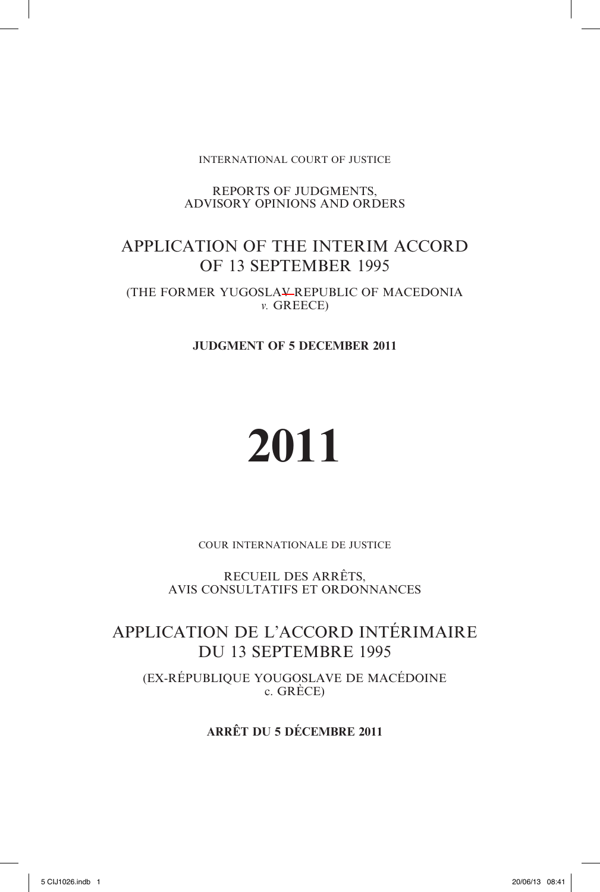INTERNATIONAL COURT OF JUSTICE

Reports of judgments, ADVISORY OPINIONS AND ORDERS

# APPLICATION OF THE INTERIM ACCORD OF 13 SEPTEMBER 1995

(THE FORMER YUGOSLA¥-REPUBLIC OF MACEDONIA *v.* GREECE)

**JUDGMENT OF 5 DECEMBER 2011**

# **2011**

COUR INTERNATIONALE DE JUSTICE

RECUEIL DES ARRÊTS, AVIS CONSULTATIFS ET ORDONNANCES

# APPLICATION DE L'ACCORD INTÉRIMAIRE DU 13 SEPTEMBRE 1995

(EX‑RÉPUBLIQUE YOUGOSLAVE DE MACÉDOINE c. GRÈCE)

**ARRÊT DU 5 DÉCEMBRE 2011**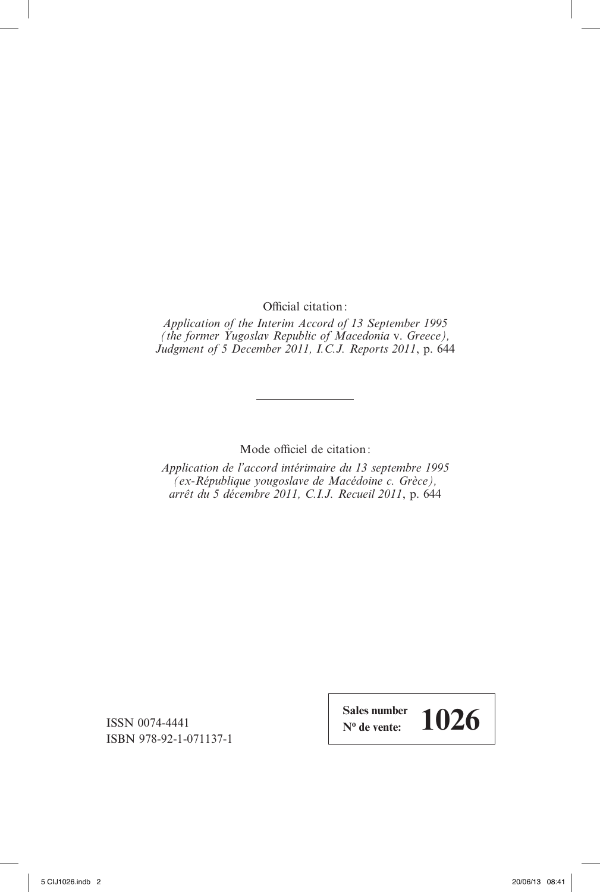# Official citation:

*Application of the Interim Accord of 13 September 1995 (the former Yugoslav Republic of Macedonia* v. *Greece), Judgment of 5 December 2011, I.C.J. Reports 2011*, p. 644

# Mode officiel de citation:

*Application de l'accord intérimaire du 13 septembre 1995 (ex‑République yougoslave de Macédoine c. Grèce), arrêt du 5 décembre 2011, C.I.J. Recueil 2011*, p. 644

ISSN 0074-4441 ISBN 978-92-1-071137-1 **Sales number**   $\frac{\text{Sales number}}{\text{N}^{\text{o}} \text{ de vente:}}$  1026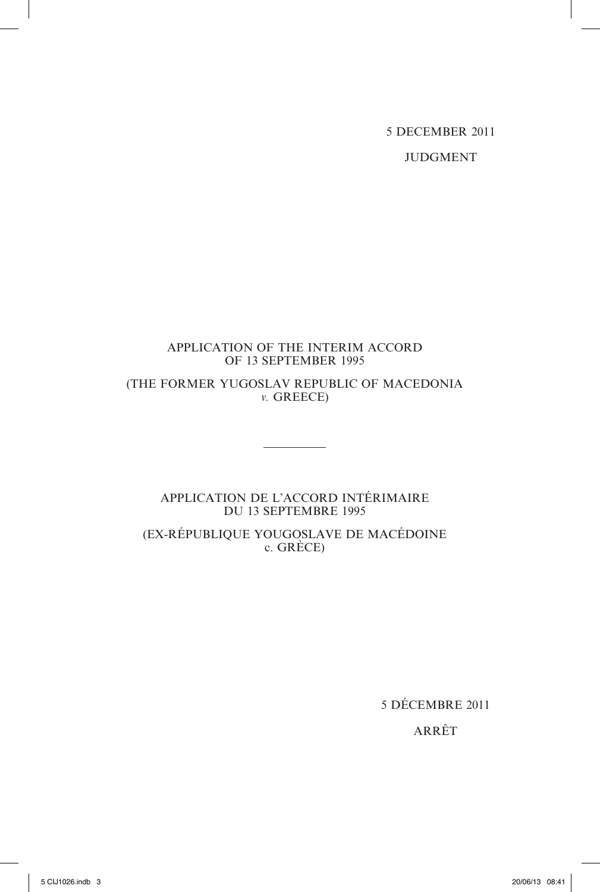5 DECEMBER 2011

JUDGMENT

# APPLICATION OF THE INTERIM ACCORD OF 13 SEPTEMBER 1995

(THE FORMER YUGOSLAV REPUBLIC OF MACEDONIA *v.* GREECE)

# APPLICATION DE L'ACCORD INTÉRIMAIRE DU 13 SEPTEMBRE 1995

(EX‑RÉPUBLIQUE YOUGOSLAVE DE MACÉDOINE c. GRÈCE)

5 DÉCEMBRE 2011

ARRÊT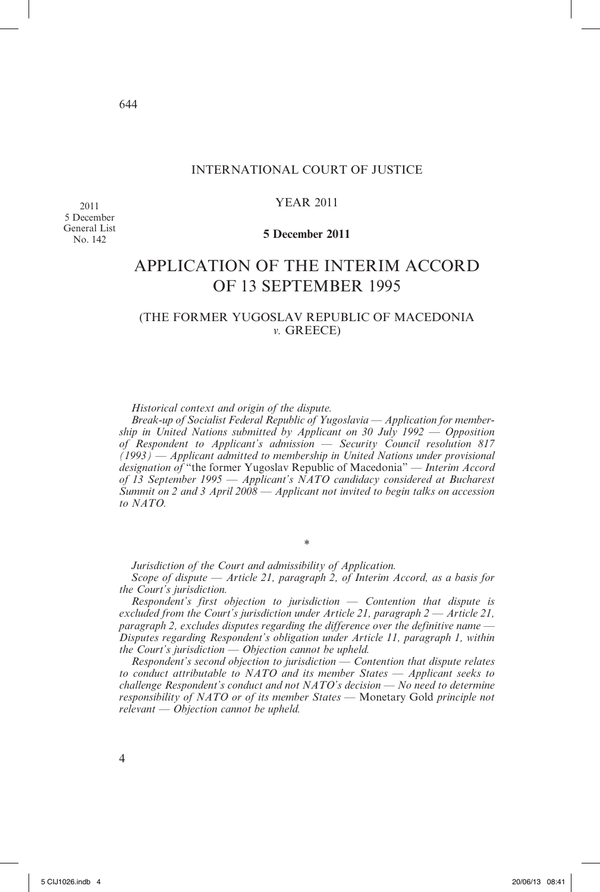# INTERNATIONAL COURT OF JUSTICE

# YEAR 2011

2011 5 December General List No. 142

644

# **5 December 2011**

# APPLICATION OF THE INTERIM ACCORD OF 13 SEPTEMBER 1995

# (THE FORMER YUGOSLAV REPUBLIC OF MACEDONIA *v.* GREECE)

*Historical context and origin of the dispute.*

*Break-up of Socialist Federal Republic of Yugoslavia* — *Application for member‑ ship in United Nations submitted by Applicant on 30 July 1992* — *Opposition of Respondent to Applicant's admission* — *Security Council resolution 817 (1993)* — *Applicant admitted to membership in United Nations under provisional designation of* "the former Yugoslav Republic of Macedonia" — *Interim Accord of 13 September 1995* — *Applicant's NATO candidacy considered at Bucharest Summit on 2 and 3 April 2008* — *Applicant not invited to begin talks on accession to NATO.*

*Jurisdiction of the Court and admissibility of Application.*

*Scope of dispute* — *Article 21, paragraph 2, of Interim Accord, as a basis for the Court's jurisdiction.*

\*

*Respondent's first objection to jurisdiction* — *Contention that dispute is excluded from the Court's jurisdiction under Article 21, paragraph 2* — *Article 21, paragraph 2, excludes disputes regarding the difference over the definitive name* — *Disputes regarding Respondent's obligation under Article 11, paragraph 1, within the Court's jurisdiction* — *Objection cannot be upheld.*

*Respondent's second objection to jurisdiction* — *Contention that dispute relates to conduct attributable to NATO and its member States* — *Applicant seeks to challenge Respondent's conduct and not NATO's decision* — *No need to determine responsibility of NATO or of its member States* — Monetary Gold *principle not relevant* — *Objection cannot be upheld.*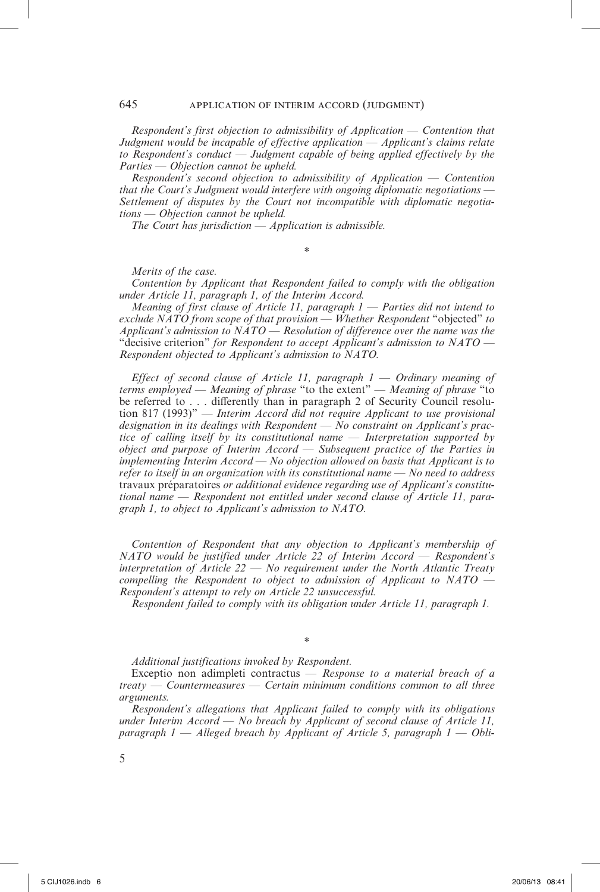*Respondent's first objection to admissibility of Application* — *Contention that Judgment would be incapable of effective application* — *Applicant's claims relate to Respondent's conduct* — *Judgment capable of being applied effectively by the Parties* — *Objection cannot be upheld.*

*Respondent's second objection to admissibility of Application* — *Contention that the Court's Judgment would interfere with ongoing diplomatic negotiations* — *Settlement of disputes by the Court not incompatible with diplomatic negotia‑ tions* — *Objection cannot be upheld.*

*The Court has jurisdiction* — *Application is admissible.*

*Merits of the case.*

*Contention by Applicant that Respondent failed to comply with the obligation under Article 11, paragraph 1, of the Interim Accord.*

\*

*Meaning of first clause of Article 11, paragraph 1* — *Parties did not intend to exclude NATO from scope of that provision* — *Whether Respondent* "objected" *to Applicant's admission to NATO* — *Resolution of difference over the name was the*  "decisive criterion" *for Respondent to accept Applicant's admission to NATO* — *Respondent objected to Applicant's admission to NATO.*

*Effect of second clause of Article 11, paragraph 1* — *Ordinary meaning of terms employed* — *Meaning of phrase* "to the extent" — *Meaning of phrase* "to be referred to . . . differently than in paragraph 2 of Security Council resolution 817 (1993)" — *Interim Accord did not require Applicant to use provisional designation in its dealings with Respondent* — *No constraint on Applicant's prac‑ tice of calling itself by its constitutional name* — *Interpretation supported by object and purpose of Interim Accord* — *Subsequent practice of the Parties in implementing Interim Accord* — *No objection allowed on basis that Applicant is to refer to itself in an organization with its constitutional name* — *No need to address*  travaux préparatoires *or additional evidence regarding use of Applicant's constitu‑ tional name* — *Respondent not entitled under second clause of Article 11, para‑ graph 1, to object to Applicant's admission to NATO.*

*Contention of Respondent that any objection to Applicant's membership of NATO would be justified under Article 22 of Interim Accord* — *Respondent's interpretation of Article 22* — *No requirement under the North Atlantic Treaty*  compelling the Respondent to object to admission of Applicant to NATO -*Respondent's attempt to rely on Article 22 unsuccessful.*

*Respondent failed to comply with its obligation under Article 11, paragraph 1.*

# \*

*Additional justifications invoked by Respondent.*

Exceptio non adimpleti contractus — *Response to a material breach of a treaty* — *Countermeasures* — *Certain minimum conditions common to all three arguments.*

*Respondent's allegations that Applicant failed to comply with its obligations under Interim Accord* — *No breach by Applicant of second clause of Article 11, paragraph 1* — *Alleged breach by Applicant of Article 5, paragraph 1* — *Obli‑*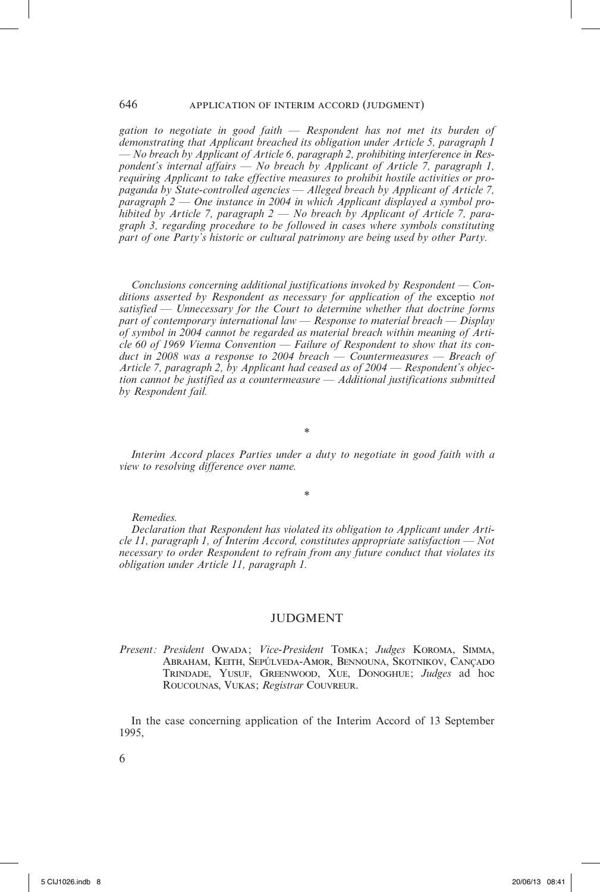*gation to negotiate in good faith* — *Respondent has not met its burden of demonstrating that Applicant breached its obligation under Article 5, paragraph 1*  — *No breach by Applicant of Article 6, paragraph 2, prohibiting interference in Res‑ pondent's internal affairs* — *No breach by Applicant of Article 7, paragraph 1, requiring Applicant to take effective measures to prohibit hostile activities or pro‑ paganda by State‑controlled agencies* — *Alleged breach by Applicant of Article 7, paragraph 2* — *One instance in 2004 in which Applicant displayed a symbol pro‑ hibited by Article 7, paragraph 2* — *No breach by Applicant of Article 7, para‑ graph 3, regarding procedure to be followed in cases where symbols constituting part of one Party's historic or cultural patrimony are being used by other Party.*

*Conclusions concerning additional justifications invoked by Respondent* — *Con‑ ditions asserted by Respondent as necessary for application of the* exceptio *not satisfied* — *Unnecessary for the Court to determine whether that doctrine forms part of contemporary international law* — *Response to material breach* — *Display of symbol in 2004 cannot be regarded as material breach within meaning of Arti‑ cle 60 of 1969 Vienna Convention* — *Failure of Respondent to show that its con‑ duct in 2008 was a response to 2004 breach* — *Countermeasures* — *Breach of Article 7, paragraph 2, by Applicant had ceased as of 2004* — *Respondent's objec‑ tion cannot be justified as a countermeasure* — *Additional justifications submitted by Respondent fail.*

*Interim Accord places Parties under a duty to negotiate in good faith with a view to resolving difference over name.*

\*

\*

#### *Remedies.*

*Declaration that Respondent has violated its obligation to Applicant under Arti‑ cle 11, paragraph 1, of Interim Accord, constitutes appropriate satisfaction* — *Not necessary to order Respondent to refrain from any future conduct that violates its obligation under Article 11, paragraph 1.*

#### JUDGMENT

*Present: President* Owada; *Vice‑President* Tomka; *Judges* Koroma, Simma, Abraham, Keith, Sepúlveda‑Amor, Bennouna, Skotnikov, Cançado Trindade, Yusuf, Greenwood, Xue, Donoghue; *Judges* ad hoc Roucounas, Vukas; *Registrar* Couvreur.

In the case concerning application of the Interim Accord of 13 September 1995,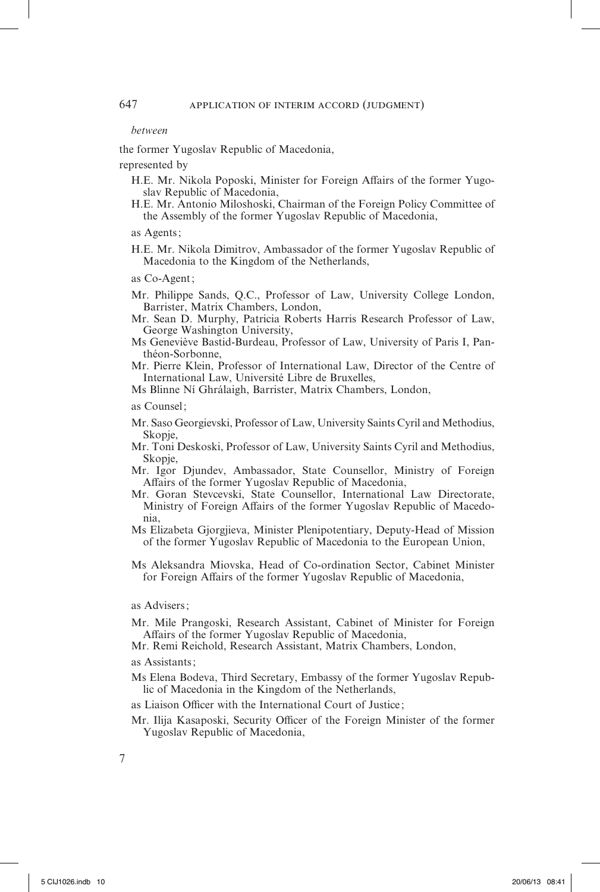*between*

the former Yugoslav Republic of Macedonia,

represented by

- H.E. Mr. Nikola Poposki, Minister for Foreign Affairs of the former Yugoslav Republic of Macedonia,
- H.E. Mr. Antonio Miloshoski, Chairman of the Foreign Policy Committee of the Assembly of the former Yugoslav Republic of Macedonia,
- as Agents;
- H.E. Mr. Nikola Dimitrov, Ambassador of the former Yugoslav Republic of Macedonia to the Kingdom of the Netherlands,
- as Co‑Agent;
- Mr. Philippe Sands, Q.C., Professor of Law, University College London, Barrister, Matrix Chambers, London,
- Mr. Sean D. Murphy, Patricia Roberts Harris Research Professor of Law, George Washington University,
- Ms Geneviève Bastid-Burdeau, Professor of Law, University of Paris I, Panthéon‑Sorbonne,
- Mr. Pierre Klein, Professor of International Law, Director of the Centre of International Law, Université Libre de Bruxelles,
- Ms Blinne Ní Ghrálaigh, Barrister, Matrix Chambers, London,

- Mr. Saso Georgievski, Professor of Law, University Saints Cyril and Methodius, Skopje,
- Mr. Toni Deskoski, Professor of Law, University Saints Cyril and Methodius, Skopje,
- Mr. Igor Djundev, Ambassador, State Counsellor, Ministry of Foreign Affairs of the former Yugoslav Republic of Macedonia,
- Mr. Goran Stevcevski, State Counsellor, International Law Directorate, Ministry of Foreign Affairs of the former Yugoslav Republic of Macedonia,
- Ms Elizabeta Gjorgjieva, Minister Plenipotentiary, Deputy‑Head of Mission of the former Yugoslav Republic of Macedonia to the European Union,
- Ms Aleksandra Miovska, Head of Co‑ordination Sector, Cabinet Minister for Foreign Affairs of the former Yugoslav Republic of Macedonia,

as Advisers;

- Mr. Mile Prangoski, Research Assistant, Cabinet of Minister for Foreign Affairs of the former Yugoslav Republic of Macedonia,
- Mr. Remi Reichold, Research Assistant, Matrix Chambers, London,
- as Assistants;
- Ms Elena Bodeva, Third Secretary, Embassy of the former Yugoslav Repub‑ lic of Macedonia in the Kingdom of the Netherlands,
- as Liaison Officer with the International Court of Justice ;
- Mr. Ilija Kasaposki, Security Officer of the Foreign Minister of the former Yugoslav Republic of Macedonia,
- 7

as Counsel;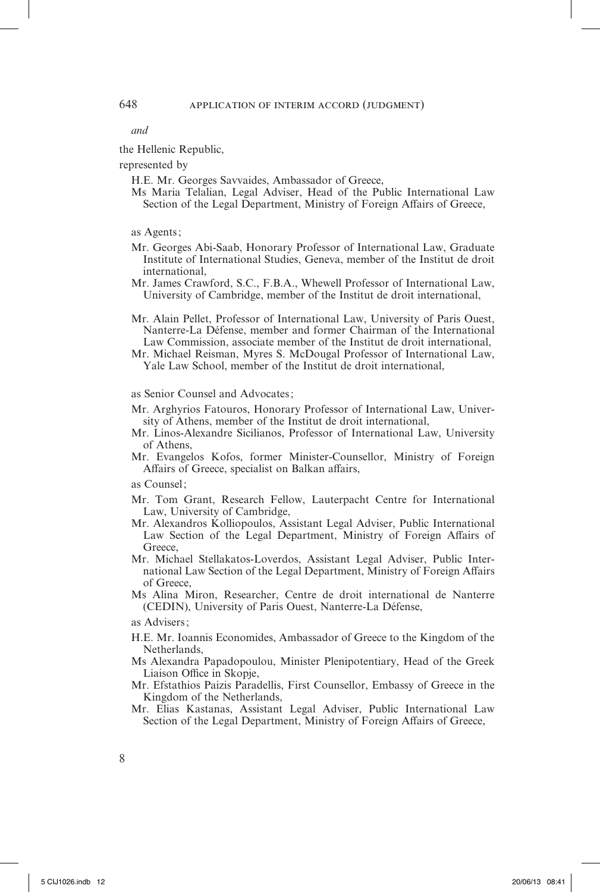*and*

the Hellenic Republic,

represented by

H.E. Mr. Georges Savvaides, Ambassador of Greece,

Ms Maria Telalian, Legal Adviser, Head of the Public International Law Section of the Legal Department, Ministry of Foreign Affairs of Greece,

as Agents;

- Mr. Georges Abi‑Saab, Honorary Professor of International Law, Graduate Institute of International Studies, Geneva, member of the Institut de droit international,
- Mr. James Crawford, S.C., F.B.A., Whewell Professor of International Law, University of Cambridge, member of the Institut de droit international,
- Mr. Alain Pellet, Professor of International Law, University of Paris Ouest, Nanterre‑La Défense, member and former Chairman of the International Law Commission, associate member of the Institut de droit international,
- Mr. Michael Reisman, Myres S. McDougal Professor of International Law, Yale Law School, member of the Institut de droit international,

as Senior Counsel and Advocates;

- Mr. Arghyrios Fatouros, Honorary Professor of International Law, University of Athens, member of the Institut de droit international,
- Mr. Linos‑Alexandre Sicilianos, Professor of International Law, University of Athens,
- Mr. Evangelos Kofos, former Minister‑Counsellor, Ministry of Foreign Affairs of Greece, specialist on Balkan affairs,

as Counsel;

- Mr. Tom Grant, Research Fellow, Lauterpacht Centre for International Law, University of Cambridge,
- Mr. Alexandros Kolliopoulos, Assistant Legal Adviser, Public International Law Section of the Legal Department, Ministry of Foreign Affairs of Greece,
- Mr. Michael Stellakatos-Loverdos, Assistant Legal Adviser, Public International Law Section of the Legal Department, Ministry of Foreign Affairs of Greece,
- Ms Alina Miron, Researcher, Centre de droit international de Nanterre (CEDIN), University of Paris Ouest, Nanterre‑La Défense,

as Advisers;

- H.E. Mr. Ioannis Economides, Ambassador of Greece to the Kingdom of the Netherlands,
- Ms Alexandra Papadopoulou, Minister Plenipotentiary, Head of the Greek Liaison Office in Skopje,
- Mr. Efstathios Paizis Paradellis, First Counsellor, Embassy of Greece in the Kingdom of the Netherlands,
- Mr. Elias Kastanas, Assistant Legal Adviser, Public International Law Section of the Legal Department, Ministry of Foreign Affairs of Greece,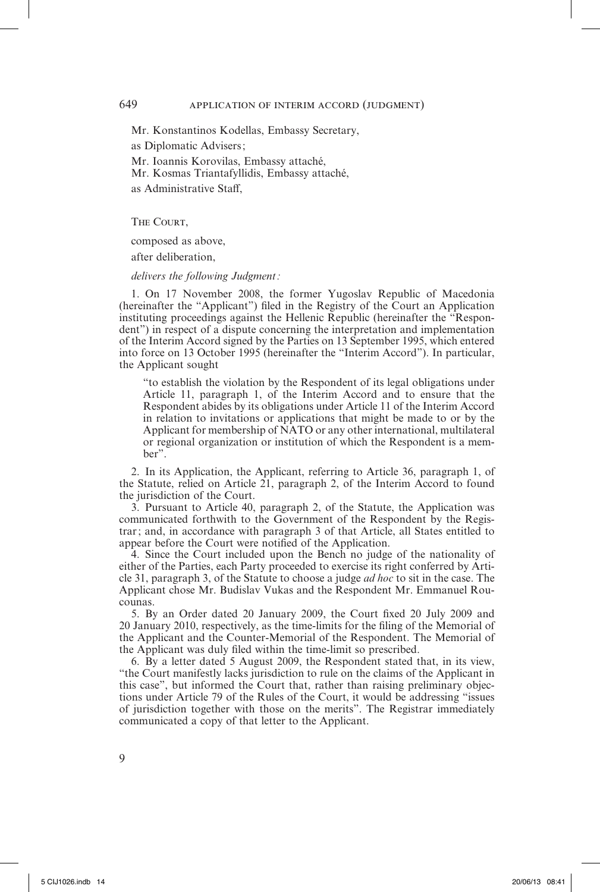Mr. Konstantinos Kodellas, Embassy Secretary,

as Diplomatic Advisers;

Mr. Ioannis Korovilas, Embassy attaché,

Mr. Kosmas Triantafyllidis, Embassy attaché,

as Administrative Staff,

#### THE COURT.

composed as above,

after deliberation,

#### *delivers the following Judgment:*

1. On 17 November 2008, the former Yugoslav Republic of Macedonia (hereinafter the "Applicant") filed in the Registry of the Court an Application instituting proceedings against the Hellenic Republic (hereinafter the "Respondent") in respect of a dispute concerning the interpretation and implementation of the Interim Accord signed by the Parties on 13 September 1995, which entered into force on 13 October 1995 (hereinafter the "Interim Accord"). In particular, the Applicant sought

"to establish the violation by the Respondent of its legal obligations under Article 11, paragraph 1, of the Interim Accord and to ensure that the Respondent abides by its obligations under Article 11 of the Interim Accord in relation to invitations or applications that might be made to or by the Applicant for membership of NATO or any other international, multilateral or regional organization or institution of which the Respondent is a member".

2. In its Application, the Applicant, referring to Article 36, paragraph 1, of the Statute, relied on Article 21, paragraph 2, of the Interim Accord to found the jurisdiction of the Court.

3. Pursuant to Article 40, paragraph 2, of the Statute, the Application was communicated forthwith to the Government of the Respondent by the Registrar; and, in accordance with paragraph 3 of that Article, all States entitled to appear before the Court were notified of the Application.

4. Since the Court included upon the Bench no judge of the nationality of either of the Parties, each Party proceeded to exercise its right conferred by Article 31, paragraph 3, of the Statute to choose a judge *ad hoc* to sit in the case. The Applicant chose Mr. Budislav Vukas and the Respondent Mr. Emmanuel Roucounas.

5. By an Order dated 20 January 2009, the Court fixed 20 July 2009 and 20 January 2010, respectively, as the time‑limits for the filing of the Memorial of the Applicant and the Counter‑Memorial of the Respondent. The Memorial of the Applicant was duly filed within the time‑limit so prescribed.

6. By a letter dated 5 August 2009, the Respondent stated that, in its view, "the Court manifestly lacks jurisdiction to rule on the claims of the Applicant in this case", but informed the Court that, rather than raising preliminary objections under Article 79 of the Rules of the Court, it would be addressing "issues of jurisdiction together with those on the merits". The Registrar immediately communicated a copy of that letter to the Applicant.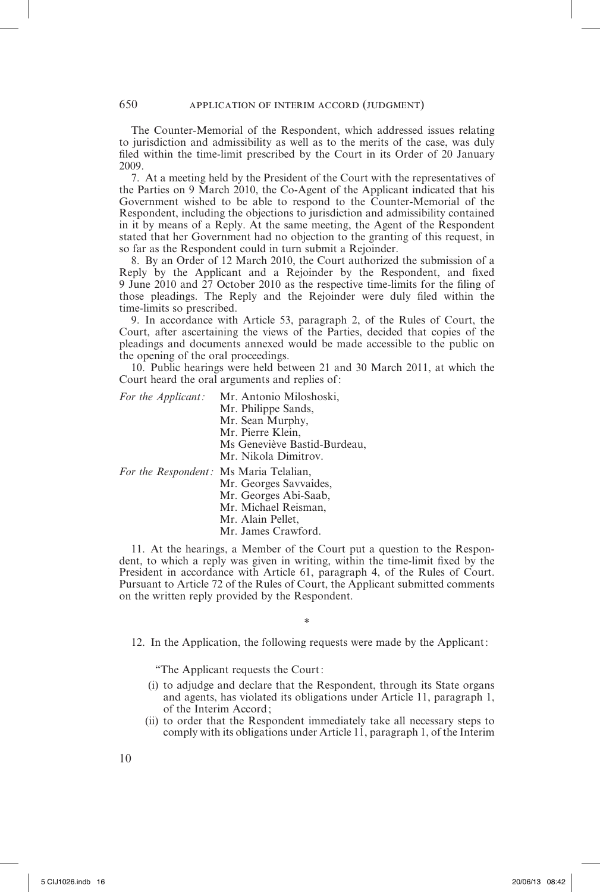The Counter‑Memorial of the Respondent, which addressed issues relating to jurisdiction and admissibility as well as to the merits of the case, was duly filed within the time-limit prescribed by the Court in its Order of 20 January 2009.

7. At a meeting held by the President of the Court with the representatives of the Parties on 9 March 2010, the Co‑Agent of the Applicant indicated that his Government wished to be able to respond to the Counter‑Memorial of the Respondent, including the objections to jurisdiction and admissibility contained in it by means of a Reply. At the same meeting, the Agent of the Respondent stated that her Government had no objection to the granting of this request, in so far as the Respondent could in turn submit a Rejoinder.

8. By an Order of 12 March 2010, the Court authorized the submission of a Reply by the Applicant and a Rejoinder by the Respondent, and fixed 9 June 2010 and 27 October 2010 as the respective time-limits for the filing of those pleadings. The Reply and the Rejoinder were duly filed within the time-limits so prescribed.

9. In accordance with Article 53, paragraph 2, of the Rules of Court, the Court, after ascertaining the views of the Parties, decided that copies of the pleadings and documents annexed would be made accessible to the public on the opening of the oral proceedings.

10. Public hearings were held between 21 and 30 March 2011, at which the Court heard the oral arguments and replies of:

| For the Applicant:                            | Mr. Antonio Miloshoski,      |
|-----------------------------------------------|------------------------------|
|                                               | Mr. Philippe Sands,          |
|                                               | Mr. Sean Murphy,             |
|                                               | Mr. Pierre Klein,            |
|                                               | Ms Geneviève Bastid-Burdeau, |
|                                               | Mr. Nikola Dimitrov.         |
| <i>For the Respondent:</i> Ms Maria Telalian, |                              |
|                                               | Mr. Georges Savvaides,       |
|                                               | Mr. Georges Abi-Saab,        |
|                                               | Mr. Michael Reisman,         |
|                                               | Mr. Alain Pellet,            |
|                                               | Mr. James Crawford.          |

11. At the hearings, a Member of the Court put a question to the Respondent, to which a reply was given in writing, within the time-limit fixed by the President in accordance with Article 61, paragraph 4, of the Rules of Court. Pursuant to Article 72 of the Rules of Court, the Applicant submitted comments on the written reply provided by the Respondent.

\*

12. In the Application, the following requests were made by the Applicant:

"The Applicant requests the Court:

- (i) to adjudge and declare that the Respondent, through its State organs and agents, has violated its obligations under Article 11, paragraph 1, of the Interim Accord;
- (ii) to order that the Respondent immediately take all necessary steps to comply with its obligations under Article 11, paragraph 1, of the Interim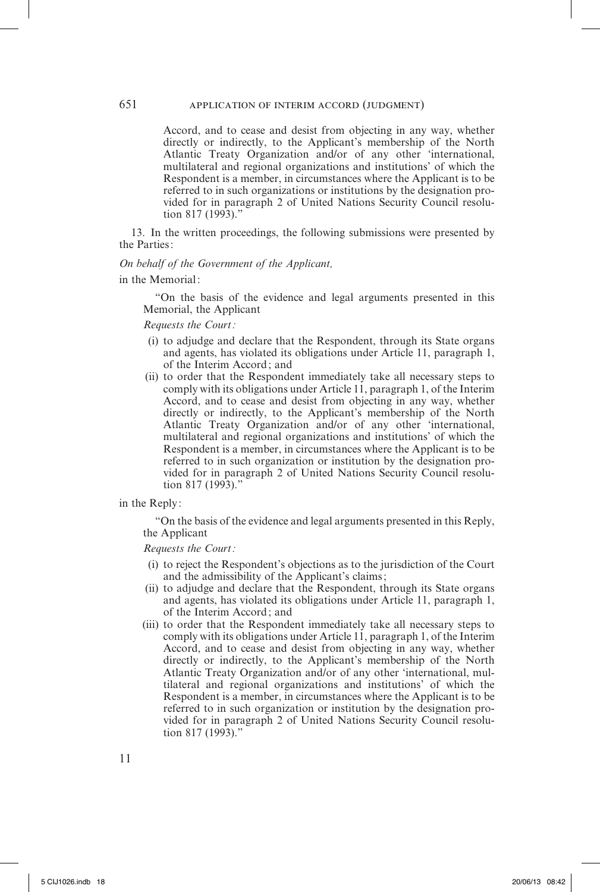Accord, and to cease and desist from objecting in any way, whether directly or indirectly, to the Applicant's membership of the North Atlantic Treaty Organization and/or of any other 'international, multilateral and regional organizations and institutions' of which the Respondent is a member, in circumstances where the Applicant is to be referred to in such organizations or institutions by the designation provided for in paragraph 2 of United Nations Security Council resolution  $817 (1993)$ .

13. In the written proceedings, the following submissions were presented by the Parties:

#### *On behalf of the Government of the Applicant,*

in the Memorial:

"On the basis of the evidence and legal arguments presented in this Memorial, the Applicant

#### *Requests the Court:*

- (i) to adjudge and declare that the Respondent, through its State organs and agents, has violated its obligations under Article 11, paragraph 1, of the Interim Accord; and
- (ii) to order that the Respondent immediately take all necessary steps to comply with its obligations under Article 11, paragraph 1, of the Interim Accord, and to cease and desist from objecting in any way, whether directly or indirectly, to the Applicant's membership of the North Atlantic Treaty Organization and/or of any other 'international, multilateral and regional organizations and institutions' of which the Respondent is a member, in circumstances where the Applicant is to be referred to in such organization or institution by the designation provided for in paragraph 2 of United Nations Security Council resolution 817 (1993)."

in the Reply:

"On the basis of the evidence and legal arguments presented in this Reply, the Applicant

#### *Requests the Court:*

- (i) to reject the Respondent's objections as to the jurisdiction of the Court and the admissibility of the Applicant's claims;
- (ii) to adjudge and declare that the Respondent, through its State organs and agents, has violated its obligations under Article 11, paragraph 1, of the Interim Accord; and
- (iii) to order that the Respondent immediately take all necessary steps to comply with its obligations under Article 11, paragraph 1, of the Interim Accord, and to cease and desist from objecting in any way, whether directly or indirectly, to the Applicant's membership of the North Atlantic Treaty Organization and/or of any other 'international, multilateral and regional organizations and institutions' of which the Respondent is a member, in circumstances where the Applicant is to be referred to in such organization or institution by the designation provided for in paragraph 2 of United Nations Security Council resolution 817 (1993)."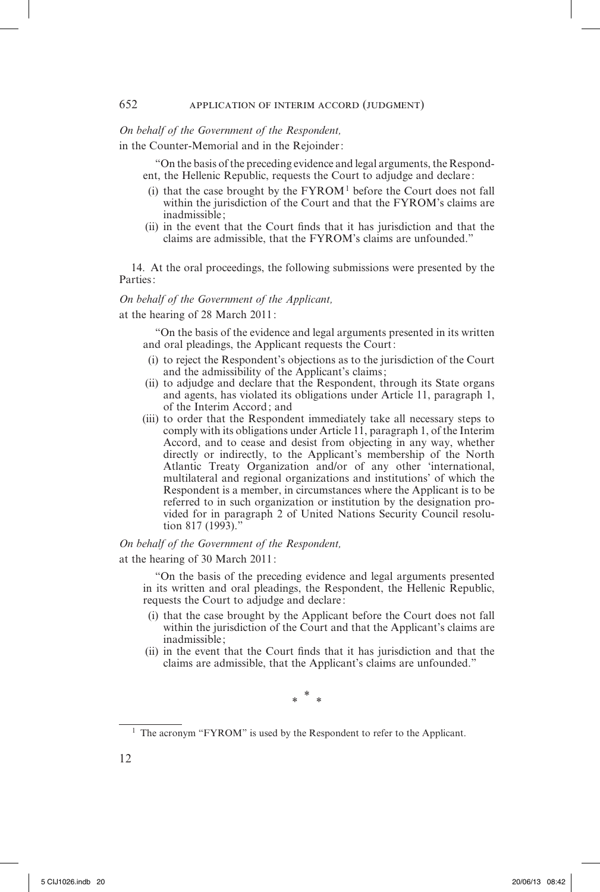#### *On behalf of the Government of the Respondent,*

in the Counter‑Memorial and in the Rejoinder:

- "On the basis of the preceding evidence and legal arguments, the Respond‑ ent, the Hellenic Republic, requests the Court to adjudge and declare :
- (i) that the case brought by the FYROM1 before the Court does not fall within the jurisdiction of the Court and that the FYROM's claims are inadmissible ;
- (ii) in the event that the Court finds that it has jurisdiction and that the claims are admissible, that the FYROM's claims are unfounded."

14. At the oral proceedings, the following submissions were presented by the Parties:

# *On behalf of the Government of the Applicant,*

at the hearing of 28 March 2011 :

"On the basis of the evidence and legal arguments presented in its written and oral pleadings, the Applicant requests the Court:

- (i) to reject the Respondent's objections as to the jurisdiction of the Court and the admissibility of the Applicant's claims;
- (ii) to adjudge and declare that the Respondent, through its State organs and agents, has violated its obligations under Article 11, paragraph 1, of the Interim Accord; and
- (iii) to order that the Respondent immediately take all necessary steps to comply with its obligations under Article 11, paragraph 1, of the Interim Accord, and to cease and desist from objecting in any way, whether directly or indirectly, to the Applicant's membership of the North Atlantic Treaty Organization and/or of any other 'international, multilateral and regional organizations and institutions' of which the Respondent is a member, in circumstances where the Applicant is to be referred to in such organization or institution by the designation provided for in paragraph 2 of United Nations Security Council resolution 817 (1993)."

#### *On behalf of the Government of the Respondent,*

at the hearing of 30 March 2011 :

"On the basis of the preceding evidence and legal arguments presented in its written and oral pleadings, the Respondent, the Hellenic Republic, requests the Court to adjudge and declare :

- (i) that the case brought by the Applicant before the Court does not fall within the jurisdiction of the Court and that the Applicant's claims are inadmissible ;
- (ii) in the event that the Court finds that it has jurisdiction and that the claims are admissible, that the Applicant's claims are unfounded."

<sup>\*</sup> \* \*

<sup>&</sup>lt;sup>1</sup> The acronym "FYROM" is used by the Respondent to refer to the Applicant.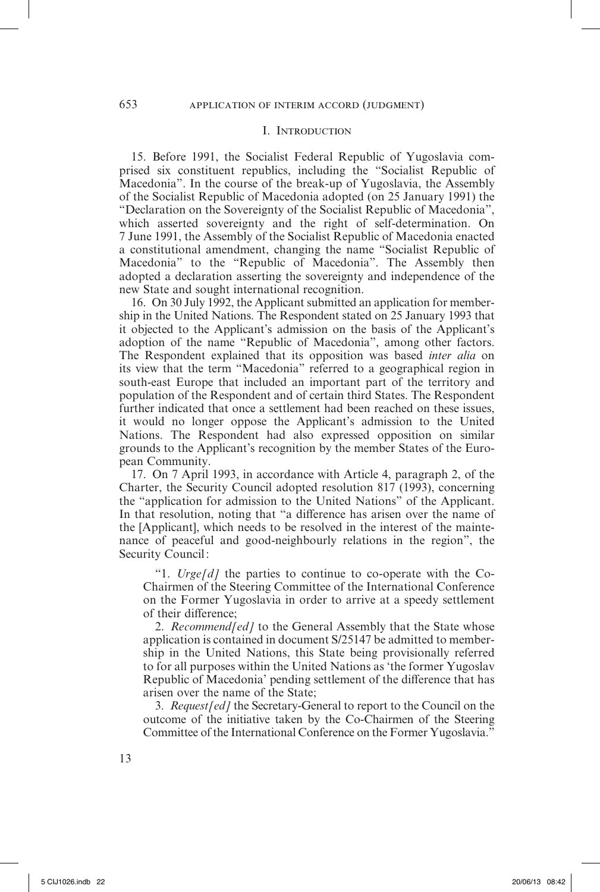#### I. Introduction

15. Before 1991, the Socialist Federal Republic of Yugoslavia comprised six constituent republics, including the "Socialist Republic of Macedonia". In the course of the break-up of Yugoslavia, the Assembly of the Socialist Republic of Macedonia adopted (on 25 January 1991) the "Declaration on the Sovereignty of the Socialist Republic of Macedonia", which asserted sovereignty and the right of self-determination. On 7 June 1991, the Assembly of the Socialist Republic of Macedonia enacted a constitutional amendment, changing the name "Socialist Republic of Macedonia" to the "Republic of Macedonia". The Assembly then adopted a declaration asserting the sovereignty and independence of the new State and sought international recognition.

16. On 30 July 1992, the Applicant submitted an application for member‑ ship in the United Nations. The Respondent stated on 25 January 1993 that it objected to the Applicant's admission on the basis of the Applicant's adoption of the name "Republic of Macedonia", among other factors. The Respondent explained that its opposition was based *inter alia* on its view that the term "Macedonia" referred to a geographical region in south-east Europe that included an important part of the territory and population of the Respondent and of certain third States. The Respondent further indicated that once a settlement had been reached on these issues, it would no longer oppose the Applicant's admission to the United Nations. The Respondent had also expressed opposition on similar grounds to the Applicant's recognition by the member States of the Euro– pean Community.

17. On 7 April 1993, in accordance with Article 4, paragraph 2, of the Charter, the Security Council adopted resolution 817 (1993), concerning the "application for admission to the United Nations" of the Applicant. In that resolution, noting that "a difference has arisen over the name of the [Applicant], which needs to be resolved in the interest of the maintenance of peaceful and good-neighbourly relations in the region", the Security Council:

"1. *Urge[d]* the parties to continue to co-operate with the Co‑ Chairmen of the Steering Committee of the International Conference on the Former Yugoslavia in order to arrive at a speedy settlement of their difference;

2. *Recommend[ed]* to the General Assembly that the State whose application is contained in document S/25147 be admitted to membership in the United Nations, this State being provisionally referred to for all purposes within the United Nations as 'the former Yugoslav Republic of Macedonia' pending settlement of the difference that has arisen over the name of the State;

3. *Request[ed]* the Secretary-General to report to the Council on the outcome of the initiative taken by the Co‑Chairmen of the Steering Committee of the International Conference on the Former Yugoslavia."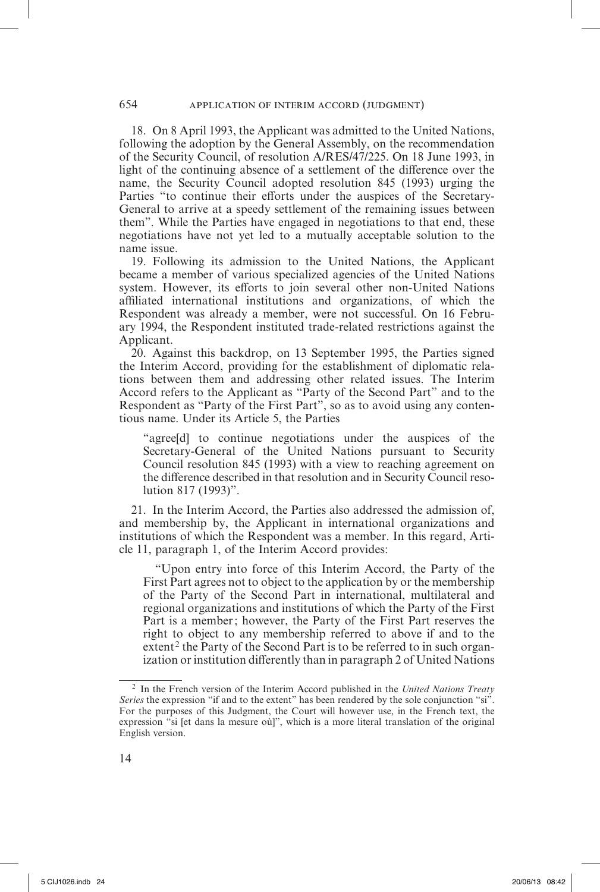18. On 8 April 1993, the Applicant was admitted to the United Nations, following the adoption by the General Assembly, on the recommendation of the Security Council, of resolution A/RES/47/225. On 18 June 1993, in light of the continuing absence of a settlement of the difference over the name, the Security Council adopted resolution 845 (1993) urging the Parties "to continue their efforts under the auspices of the Secretary– General to arrive at a speedy settlement of the remaining issues between them". While the Parties have engaged in negotiations to that end, these negotiations have not yet led to a mutually acceptable solution to the name issue.

19. Following its admission to the United Nations, the Applicant became a member of various specialized agencies of the United Nations system. However, its efforts to join several other non‑United Nations affiliated international institutions and organizations, of which the Respondent was already a member, were not successful. On 16 February 1994, the Respondent instituted trade‑related restrictions against the Applicant.

20. Against this backdrop, on 13 September 1995, the Parties signed the Interim Accord, providing for the establishment of diplomatic relations between them and addressing other related issues. The Interim Accord refers to the Applicant as "Party of the Second Part" and to the Respondent as "Party of the First Part", so as to avoid using any contentious name. Under its Article 5, the Parties

"agree[d] to continue negotiations under the auspices of the Secretary-General of the United Nations pursuant to Security Council resolution 845 (1993) with a view to reaching agreement on the difference described in that resolution and in Security Council resolution 817 (1993)".

21. In the Interim Accord, the Parties also addressed the admission of, and membership by, the Applicant in international organizations and institutions of which the Respondent was a member. In this regard, Article 11, paragraph 1, of the Interim Accord provides:

"Upon entry into force of this Interim Accord, the Party of the First Part agrees not to object to the application by or the membership of the Party of the Second Part in international, multilateral and regional organizations and institutions of which the Party of the First Part is a member; however, the Party of the First Part reserves the right to object to any membership referred to above if and to the extent<sup>2</sup> the Party of the Second Part is to be referred to in such organization or institution differently than in paragraph 2 of United Nations

5 CIJ1026.indb 24 20/06/13 08:42

<sup>2</sup> In the French version of the Interim Accord published in the *United Nations Treaty Series* the expression "if and to the extent" has been rendered by the sole conjunction "si". For the purposes of this Judgment, the Court will however use, in the French text, the expression "si [et dans la mesure où]", which is a more literal translation of the original English version.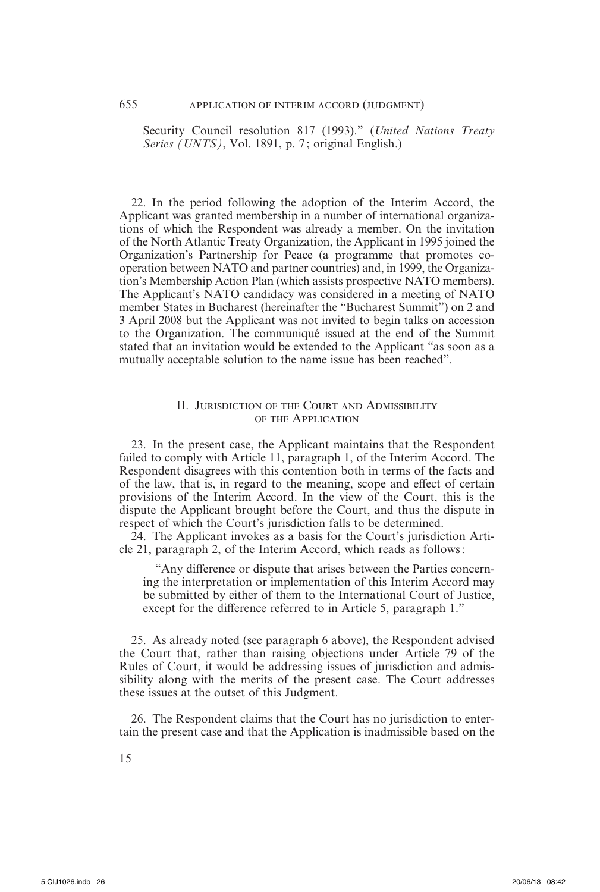Security Council resolution 817 (1993)." (*United Nations Treaty Series (UNTS)*, Vol. 1891, p. 7; original English.)

22. In the period following the adoption of the Interim Accord, the Applicant was granted membership in a number of international organizations of which the Respondent was already a member. On the invitation of the North Atlantic Treaty Organization, the Applicant in 1995 joined the Organization's Partnership for Peace (a programme that promotes cooperation between NATO and partner countries) and, in 1999, the Organization's Membership Action Plan (which assists prospective NATO members). The Applicant's NATO candidacy was considered in a meeting of NATO member States in Bucharest (hereinafter the "Bucharest Summit") on 2 and 3 April 2008 but the Applicant was not invited to begin talks on accession to the Organization. The communiqué issued at the end of the Summit stated that an invitation would be extended to the Applicant "as soon as a mutually acceptable solution to the name issue has been reached".

#### II. Jurisdiction of the Court and Admissibility of the Application

23. In the present case, the Applicant maintains that the Respondent failed to comply with Article 11, paragraph 1, of the Interim Accord. The Respondent disagrees with this contention both in terms of the facts and of the law, that is, in regard to the meaning, scope and effect of certain provisions of the Interim Accord. In the view of the Court, this is the dispute the Applicant brought before the Court, and thus the dispute in respect of which the Court's jurisdiction falls to be determined.

24. The Applicant invokes as a basis for the Court's jurisdiction Article 21, paragraph 2, of the Interim Accord, which reads as follows:

"Any difference or dispute that arises between the Parties concern‑ ing the interpretation or implementation of this Interim Accord may be submitted by either of them to the International Court of Justice, except for the difference referred to in Article 5, paragraph 1."

25. As already noted (see paragraph 6 above), the Respondent advised the Court that, rather than raising objections under Article 79 of the Rules of Court, it would be addressing issues of jurisdiction and admissibility along with the merits of the present case. The Court addresses these issues at the outset of this Judgment.

26. The Respondent claims that the Court has no jurisdiction to entertain the present case and that the Application is inadmissible based on the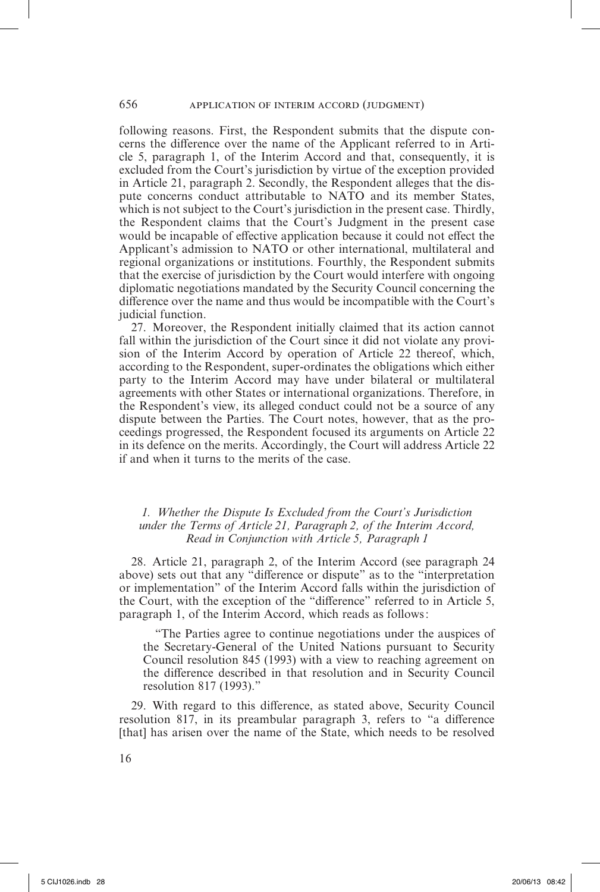following reasons. First, the Respondent submits that the dispute concerns the difference over the name of the Applicant referred to in Article 5, paragraph 1, of the Interim Accord and that, consequently, it is excluded from the Court's jurisdiction by virtue of the exception provided in Article 21, paragraph 2. Secondly, the Respondent alleges that the dispute concerns conduct attributable to NATO and its member States, which is not subject to the Court's jurisdiction in the present case. Thirdly, the Respondent claims that the Court's Judgment in the present case would be incapable of effective application because it could not effect the Applicant's admission to NATO or other international, multilateral and regional organizations or institutions. Fourthly, the Respondent submits that the exercise of jurisdiction by the Court would interfere with ongoing diplomatic negotiations mandated by the Security Council concerning the difference over the name and thus would be incompatible with the Court's judicial function.

27. Moreover, the Respondent initially claimed that its action cannot fall within the jurisdiction of the Court since it did not violate any provision of the Interim Accord by operation of Article 22 thereof, which, according to the Respondent, super‑ordinates the obligations which either party to the Interim Accord may have under bilateral or multilateral agreements with other States or international organizations. Therefore, in the Respondent's view, its alleged conduct could not be a source of any dispute between the Parties. The Court notes, however, that as the proceedings progressed, the Respondent focused its arguments on Article 22 in its defence on the merits. Accordingly, the Court will address Article 22 if and when it turns to the merits of the case.

# *1. Whether the Dispute Is Excluded from the Court's Jurisdiction under the Terms of Article 21, Paragraph 2, of the Interim Accord, Read in Conjunction with Article 5, Paragraph 1*

28. Article 21, paragraph 2, of the Interim Accord (see paragraph 24 above) sets out that any "difference or dispute" as to the "interpretation or implementation" of the Interim Accord falls within the jurisdiction of the Court, with the exception of the "difference" referred to in Article 5, paragraph 1, of the Interim Accord, which reads as follows:

"The Parties agree to continue negotiations under the auspices of the Secretary‑General of the United Nations pursuant to Security Council resolution 845 (1993) with a view to reaching agreement on the difference described in that resolution and in Security Council resolution 817 (1993)."

29. With regard to this difference, as stated above, Security Council resolution 817, in its preambular paragraph 3, refers to "a difference [that] has arisen over the name of the State, which needs to be resolved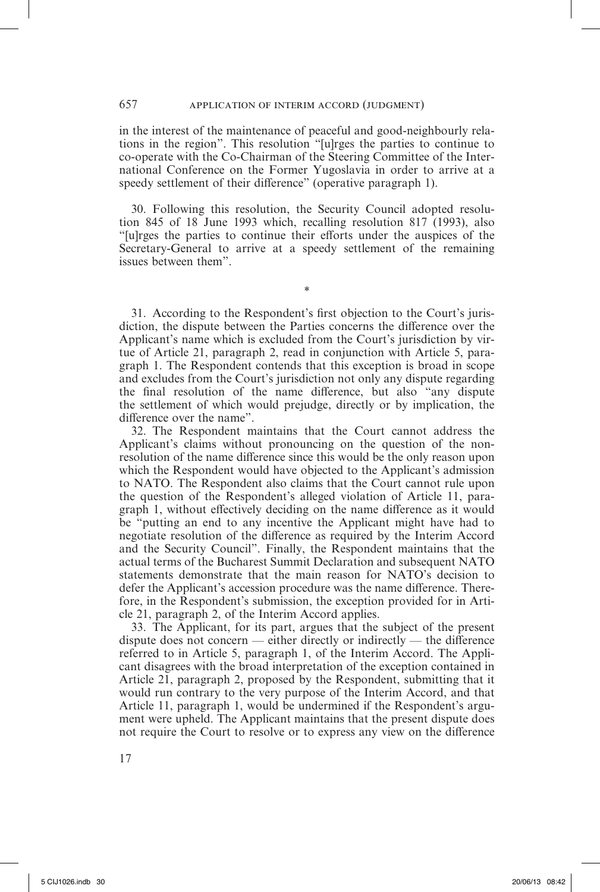in the interest of the maintenance of peaceful and good-neighbourly relations in the region". This resolution "[u]rges the parties to continue to co-operate with the Co-Chairman of the Steering Committee of the International Conference on the Former Yugoslavia in order to arrive at a speedy settlement of their difference" (operative paragraph 1).

30. Following this resolution, the Security Council adopted resolution 845 of 18 June 1993 which, recalling resolution 817 (1993), also "[u]rges the parties to continue their efforts under the auspices of the Secretary–General to arrive at a speedy settlement of the remaining issues between them".

\*

31. According to the Respondent's first objection to the Court's juris‑ diction, the dispute between the Parties concerns the difference over the Applicant's name which is excluded from the Court's jurisdiction by virtue of Article 21, paragraph 2, read in conjunction with Article 5, paragraph 1. The Respondent contends that this exception is broad in scope and excludes from the Court's jurisdiction not only any dispute regarding the final resolution of the name difference, but also "any dispute the settlement of which would prejudge, directly or by implication, the difference over the name".

32. The Respondent maintains that the Court cannot address the Applicant's claims without pronouncing on the question of the nonresolution of the name difference since this would be the only reason upon which the Respondent would have objected to the Applicant's admission to NATO. The Respondent also claims that the Court cannot rule upon the question of the Respondent's alleged violation of Article 11, para– graph 1, without effectively deciding on the name difference as it would be "putting an end to any incentive the Applicant might have had to negotiate resolution of the difference as required by the Interim Accord and the Security Council". Finally, the Respondent maintains that the actual terms of the Bucharest Summit Declaration and subsequent NATO statements demonstrate that the main reason for NATO's decision to defer the Applicant's accession procedure was the name difference. Therefore, in the Respondent's submission, the exception provided for in Article 21, paragraph 2, of the Interim Accord applies.

33. The Applicant, for its part, argues that the subject of the present dispute does not concern — either directly or indirectly — the difference referred to in Article 5, paragraph 1, of the Interim Accord. The Applicant disagrees with the broad interpretation of the exception contained in Article 21, paragraph 2, proposed by the Respondent, submitting that it would run contrary to the very purpose of the Interim Accord, and that Article 11, paragraph 1, would be undermined if the Respondent's argument were upheld. The Applicant maintains that the present dispute does not require the Court to resolve or to express any view on the difference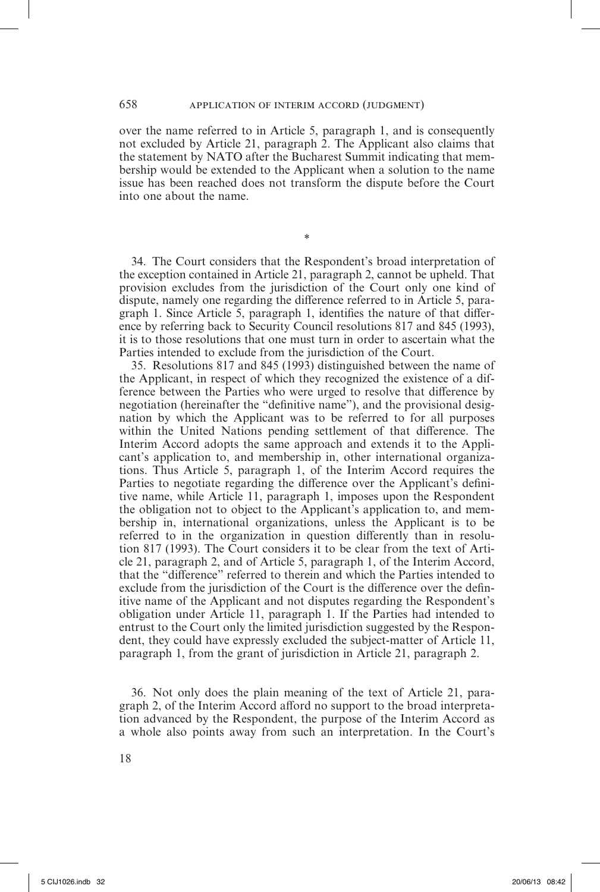over the name referred to in Article 5, paragraph 1, and is consequently not excluded by Article 21, paragraph 2. The Applicant also claims that the statement by NATO after the Bucharest Summit indicating that membership would be extended to the Applicant when a solution to the name issue has been reached does not transform the dispute before the Court into one about the name.

34. The Court considers that the Respondent's broad interpretation of the exception contained in Article 21, paragraph 2, cannot be upheld. That provision excludes from the jurisdiction of the Court only one kind of dispute, namely one regarding the difference referred to in Article 5, para– graph 1. Since Article 5, paragraph 1, identifies the nature of that difference by referring back to Security Council resolutions 817 and 845 (1993), it is to those resolutions that one must turn in order to ascertain what the Parties intended to exclude from the jurisdiction of the Court.

\*

35. Resolutions 817 and 845 (1993) distinguished between the name of the Applicant, in respect of which they recognized the existence of a difference between the Parties who were urged to resolve that difference by negotiation (hereinafter the "definitive name"), and the provisional designation by which the Applicant was to be referred to for all purposes within the United Nations pending settlement of that difference. The Interim Accord adopts the same approach and extends it to the Applicant's application to, and membership in, other international organizations. Thus Article 5, paragraph 1, of the Interim Accord requires the Parties to negotiate regarding the difference over the Applicant's definitive name, while Article 11, paragraph 1, imposes upon the Respondent the obligation not to object to the Applicant's application to, and membership in, international organizations, unless the Applicant is to be referred to in the organization in question differently than in resolution 817 (1993). The Court considers it to be clear from the text of Article 21, paragraph 2, and of Article 5, paragraph 1, of the Interim Accord, that the "difference" referred to therein and which the Parties intended to exclude from the jurisdiction of the Court is the difference over the definitive name of the Applicant and not disputes regarding the Respondent's obligation under Article 11, paragraph 1. If the Parties had intended to entrust to the Court only the limited jurisdiction suggested by the Respondent, they could have expressly excluded the subject-matter of Article 11, paragraph 1, from the grant of jurisdiction in Article 21, paragraph 2.

36. Not only does the plain meaning of the text of Article 21, paragraph 2, of the Interim Accord afford no support to the broad interpretation advanced by the Respondent, the purpose of the Interim Accord as a whole also points away from such an interpretation. In the Court's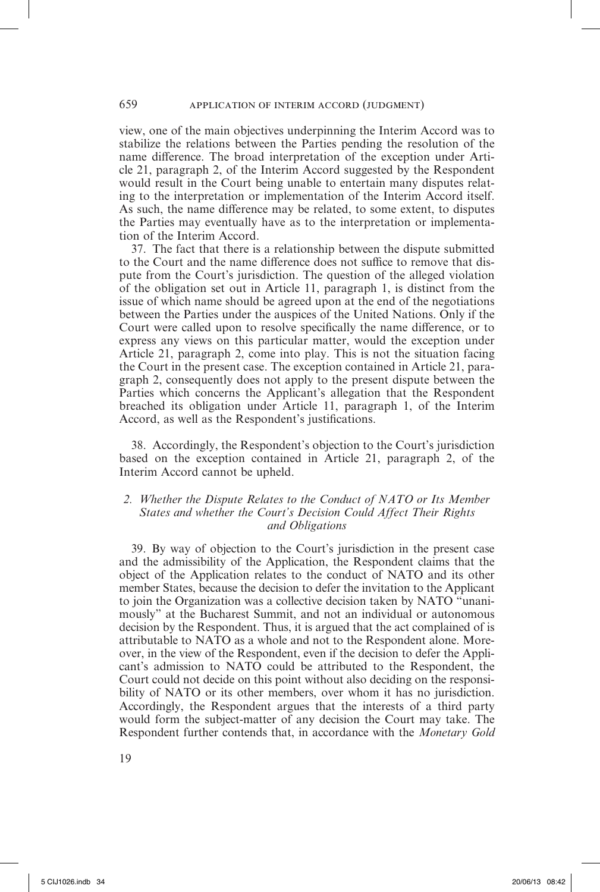view, one of the main objectives underpinning the Interim Accord was to stabilize the relations between the Parties pending the resolution of the name difference. The broad interpretation of the exception under Article 21, paragraph 2, of the Interim Accord suggested by the Respondent would result in the Court being unable to entertain many disputes relat– ing to the interpretation or implementation of the Interim Accord itself. As such, the name difference may be related, to some extent, to disputes the Parties may eventually have as to the interpretation or implementation of the Interim Accord.

37. The fact that there is a relationship between the dispute submitted to the Court and the name difference does not suffice to remove that dispute from the Court's jurisdiction. The question of the alleged violation of the obligation set out in Article 11, paragraph 1, is distinct from the issue of which name should be agreed upon at the end of the negotiations between the Parties under the auspices of the United Nations. Only if the Court were called upon to resolve specifically the name difference, or to express any views on this particular matter, would the exception under Article 21, paragraph 2, come into play. This is not the situation facing the Court in the present case. The exception contained in Article 21, para– graph 2, consequently does not apply to the present dispute between the Parties which concerns the Applicant's allegation that the Respondent breached its obligation under Article 11, paragraph 1, of the Interim Accord, as well as the Respondent's justifications.

38. Accordingly, the Respondent's objection to the Court's jurisdiction based on the exception contained in Article 21, paragraph 2, of the Interim Accord cannot be upheld.

#### *2. Whether the Dispute Relates to the Conduct of NATO or Its Member States and whether the Court's Decision Could Affect Their Rights and Obligations*

39. By way of objection to the Court's jurisdiction in the present case and the admissibility of the Application, the Respondent claims that the object of the Application relates to the conduct of NATO and its other member States, because the decision to defer the invitation to the Applicant to join the Organization was a collective decision taken by NATO "unanimously" at the Bucharest Summit, and not an individual or autonomous decision by the Respondent. Thus, it is argued that the act complained of is attributable to NATO as a whole and not to the Respondent alone. Moreover, in the view of the Respondent, even if the decision to defer the Applicant's admission to NATO could be attributed to the Respondent, the Court could not decide on this point without also deciding on the responsibility of NATO or its other members, over whom it has no jurisdiction. Accordingly, the Respondent argues that the interests of a third party would form the subject-matter of any decision the Court may take. The Respondent further contends that, in accordance with the *Monetary Gold*

19

5 CIJ1026.indb 34 20/06/13 08:42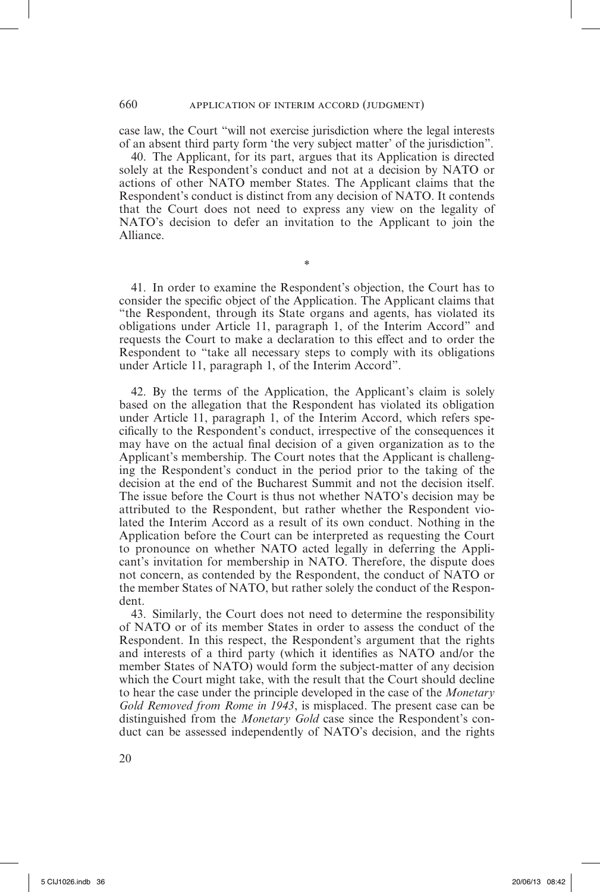case law, the Court "will not exercise jurisdiction where the legal interests of an absent third party form 'the very subject matter' of the jurisdiction".

40. The Applicant, for its part, argues that its Application is directed solely at the Respondent's conduct and not at a decision by NATO or actions of other NATO member States. The Applicant claims that the Respondent's conduct is distinct from any decision of NATO. It contends that the Court does not need to express any view on the legality of NATO's decision to defer an invitation to the Applicant to join the Alliance.

41. In order to examine the Respondent's objection, the Court has to consider the specific object of the Application. The Applicant claims that "the Respondent, through its State organs and agents, has violated its obligations under Article 11, paragraph 1, of the Interim Accord" and requests the Court to make a declaration to this effect and to order the Respondent to "take all necessary steps to comply with its obligations under Article 11, paragraph 1, of the Interim Accord".

\*

42. By the terms of the Application, the Applicant's claim is solely based on the allegation that the Respondent has violated its obligation under Article 11, paragraph 1, of the Interim Accord, which refers specifically to the Respondent's conduct, irrespective of the consequences it may have on the actual final decision of a given organization as to the Applicant's membership. The Court notes that the Applicant is challeng‑ ing the Respondent's conduct in the period prior to the taking of the decision at the end of the Bucharest Summit and not the decision itself. The issue before the Court is thus not whether NATO's decision may be attributed to the Respondent, but rather whether the Respondent violated the Interim Accord as a result of its own conduct. Nothing in the Application before the Court can be interpreted as requesting the Court to pronounce on whether NATO acted legally in deferring the Applicant's invitation for membership in NATO. Therefore, the dispute does not concern, as contended by the Respondent, the conduct of NATO or the member States of NATO, but rather solely the conduct of the Respondent.

43. Similarly, the Court does not need to determine the responsibility of NATO or of its member States in order to assess the conduct of the Respondent. In this respect, the Respondent's argument that the rights and interests of a third party (which it identifies as NATO and/or the member States of NATO) would form the subject-matter of any decision which the Court might take, with the result that the Court should decline to hear the case under the principle developed in the case of the *Monetary Gold Removed from Rome in 1943*, is misplaced. The present case can be distinguished from the *Monetary Gold* case since the Respondent's conduct can be assessed independently of NATO's decision, and the rights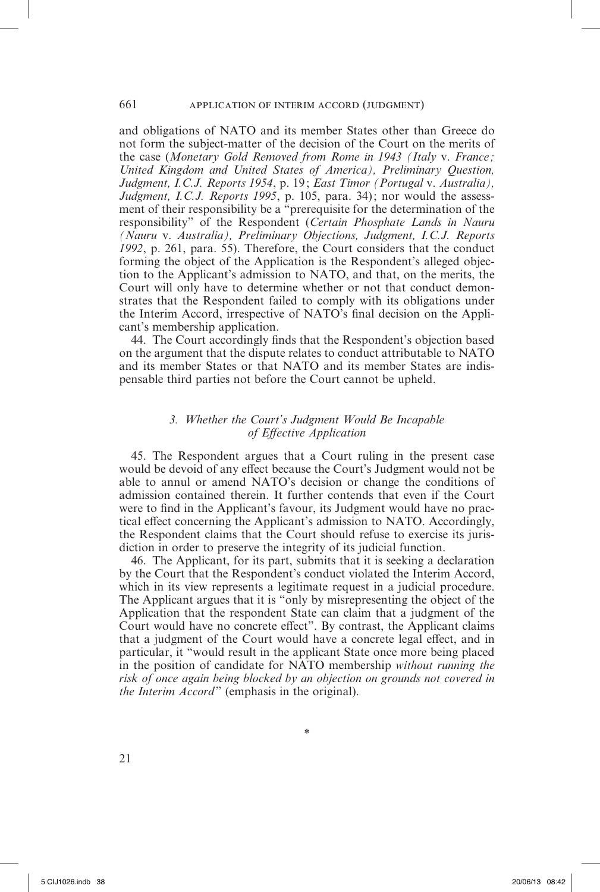and obligations of NATO and its member States other than Greece do not form the subject-matter of the decision of the Court on the merits of the case (*Monetary Gold Removed from Rome in 1943 (Italy* v. *France ; United Kingdom and United States of America), Preliminary Question, Judgment, I.C.J. Reports 1954*, p. 19; *East Timor (Portugal* v. *Australia),*  Judgment, I.C.J. Reports 1995, p. 105, para. 34); nor would the assessment of their responsibility be a "prerequisite for the determination of the responsibility" of the Respondent (*Certain Phosphate Lands in Nauru (Nauru* v. *Australia), Preliminary Objections, Judgment, I.C.J. Reports 1992*, p. 261, para. 55). Therefore, the Court considers that the conduct forming the object of the Application is the Respondent's alleged objection to the Applicant's admission to NATO, and that, on the merits, the Court will only have to determine whether or not that conduct demonstrates that the Respondent failed to comply with its obligations under the Interim Accord, irrespective of NATO's final decision on the Appli‑ cant's membership application.

44. The Court accordingly finds that the Respondent's objection based on the argument that the dispute relates to conduct attributable to NATO and its member States or that NATO and its member States are indispensable third parties not before the Court cannot be upheld.

# *3. Whether the Court's Judgment Would Be Incapable of Effective Application*

45. The Respondent argues that a Court ruling in the present case would be devoid of any effect because the Court's Judgment would not be able to annul or amend NATO's decision or change the conditions of admission contained therein. It further contends that even if the Court were to find in the Applicant's favour, its Judgment would have no practical effect concerning the Applicant's admission to NATO. Accordingly, the Respondent claims that the Court should refuse to exercise its juris‑ diction in order to preserve the integrity of its judicial function.

46. The Applicant, for its part, submits that it is seeking a declaration by the Court that the Respondent's conduct violated the Interim Accord, which in its view represents a legitimate request in a judicial procedure. The Applicant argues that it is "only by misrepresenting the object of the Application that the respondent State can claim that a judgment of the Court would have no concrete effect". By contrast, the Applicant claims that a judgment of the Court would have a concrete legal effect, and in particular, it "would result in the applicant State once more being placed in the position of candidate for NATO membership *without running the risk of once again being blocked by an objection on grounds not covered in the Interim Accord*" (emphasis in the original).

5 CIJ1026.indb 38 20/06/13 08:42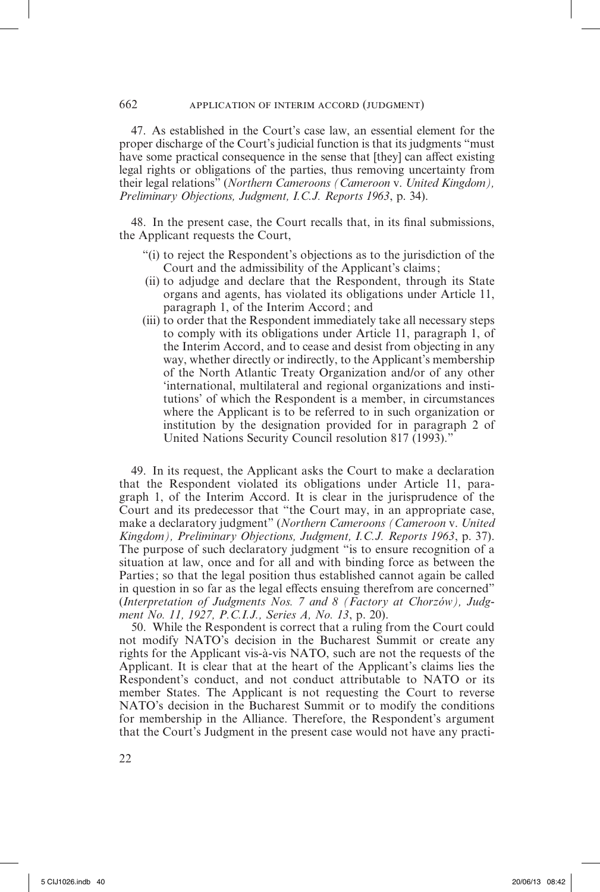47. As established in the Court's case law, an essential element for the proper discharge of the Court's judicial function is that its judgments "must have some practical consequence in the sense that [they] can affect existing legal rights or obligations of the parties, thus removing uncertainty from their legal relations" (*Northern Cameroons (Cameroon* v. *United Kingdom), Preliminary Objections, Judgment, I.C.J. Reports 1963*, p. 34).

48. In the present case, the Court recalls that, in its final submissions, the Applicant requests the Court,

- "(i) to reject the Respondent's objections as to the jurisdiction of the Court and the admissibility of the Applicant's claims;
- (ii) to adjudge and declare that the Respondent, through its State organs and agents, has violated its obligations under Article 11, paragraph 1, of the Interim Accord; and
- (iii) to order that the Respondent immediately take all necessary steps to comply with its obligations under Article 11, paragraph 1, of the Interim Accord, and to cease and desist from objecting in any way, whether directly or indirectly, to the Applicant's membership of the North Atlantic Treaty Organization and/or of any other 'international, multilateral and regional organizations and insti‑ tutions' of which the Respondent is a member, in circumstances where the Applicant is to be referred to in such organization or institution by the designation provided for in paragraph 2 of United Nations Security Council resolution 817 (1993)."

49. In its request, the Applicant asks the Court to make a declaration that the Respondent violated its obligations under Article 11, paragraph 1, of the Interim Accord. It is clear in the jurisprudence of the Court and its predecessor that "the Court may, in an appropriate case, make a declaratory judgment" (*Northern Cameroons (Cameroon* v. *United Kingdom), Preliminary Objections, Judgment, I.C.J. Reports 1963*, p. 37). The purpose of such declaratory judgment "is to ensure recognition of a situation at law, once and for all and with binding force as between the Parties; so that the legal position thus established cannot again be called in question in so far as the legal effects ensuing therefrom are concerned" (*Interpretation of Judgments Nos. 7 and 8 (Factory at Chorzów), Judg‑ ment No. 11, 1927, P.C.I.J., Series A, No. 13*, p. 20).

50. While the Respondent is correct that a ruling from the Court could not modify NATO's decision in the Bucharest Summit or create any rights for the Applicant vis‑à‑vis NATO, such are not the requests of the Applicant. It is clear that at the heart of the Applicant's claims lies the Respondent's conduct, and not conduct attributable to NATO or its member States. The Applicant is not requesting the Court to reverse NATO's decision in the Bucharest Summit or to modify the conditions for membership in the Alliance. Therefore, the Respondent's argument that the Court's Judgment in the present case would not have any practi-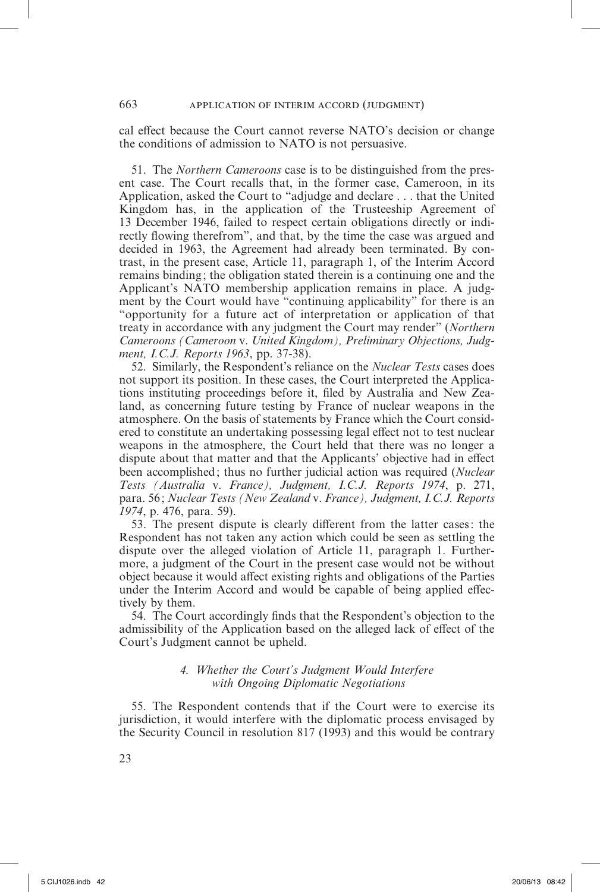cal effect because the Court cannot reverse NATO's decision or change the conditions of admission to NATO is not persuasive.

51. The *Northern Cameroons* case is to be distinguished from the pres‑ ent case. The Court recalls that, in the former case, Cameroon, in its Application, asked the Court to "adjudge and declare . . . that the United Kingdom has, in the application of the Trusteeship Agreement of 13 December 1946, failed to respect certain obligations directly or indirectly flowing therefrom", and that, by the time the case was argued and decided in 1963, the Agreement had already been terminated. By contrast, in the present case, Article 11, paragraph 1, of the Interim Accord remains binding; the obligation stated therein is a continuing one and the Applicant's NATO membership application remains in place. A judgment by the Court would have "continuing applicability" for there is an "opportunity for a future act of interpretation or application of that treaty in accordance with any judgment the Court may render" (*Northern Cameroons (Cameroon* v. *United Kingdom), Preliminary Objections, Judg‑ ment, I.C.J. Reports 1963*, pp. 37‑38).

52. Similarly, the Respondent's reliance on the *Nuclear Tests* cases does not support its position. In these cases, the Court interpreted the Applications instituting proceedings before it, filed by Australia and New Zealand, as concerning future testing by France of nuclear weapons in the atmosphere. On the basis of statements by France which the Court considered to constitute an undertaking possessing legal effect not to test nuclear weapons in the atmosphere, the Court held that there was no longer a dispute about that matter and that the Applicants' objective had in effect been accomplished; thus no further judicial action was required (*Nuclear Tests (Australia* v. *France), Judgment, I.C.J. Reports 1974*, p. 271, para. 56; *Nuclear Tests (New Zealand* v. *France), Judgment, I.C.J. Reports 1974*, p. 476, para. 59).

53. The present dispute is clearly different from the latter cases: the Respondent has not taken any action which could be seen as settling the dispute over the alleged violation of Article 11, paragraph 1. Furthermore, a judgment of the Court in the present case would not be without object because it would affect existing rights and obligations of the Parties under the Interim Accord and would be capable of being applied effec tively by them.

54. The Court accordingly finds that the Respondent's objection to the admissibility of the Application based on the alleged lack of effect of the Court's Judgment cannot be upheld.

#### *4. Whether the Court's Judgment Would Interfere with Ongoing Diplomatic Negotiations*

55. The Respondent contends that if the Court were to exercise its jurisdiction, it would interfere with the diplomatic process envisaged by the Security Council in resolution 817 (1993) and this would be contrary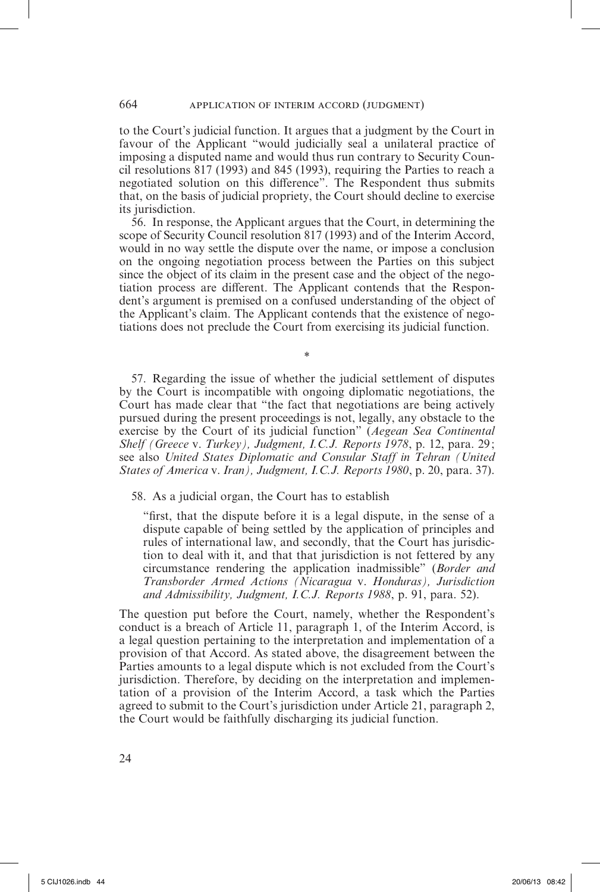to the Court's judicial function. It argues that a judgment by the Court in favour of the Applicant "would judicially seal a unilateral practice of imposing a disputed name and would thus run contrary to Security Council resolutions 817 (1993) and 845 (1993), requiring the Parties to reach a negotiated solution on this difference". The Respondent thus submits that, on the basis of judicial propriety, the Court should decline to exercise its jurisdiction.

56. In response, the Applicant argues that the Court, in determining the scope of Security Council resolution 817 (1993) and of the Interim Accord, would in no way settle the dispute over the name, or impose a conclusion on the ongoing negotiation process between the Parties on this subject since the object of its claim in the present case and the object of the negotiation process are different. The Applicant contends that the Respondent's argument is premised on a confused understanding of the object of the Applicant's claim. The Applicant contends that the existence of negotiations does not preclude the Court from exercising its judicial function.

57. Regarding the issue of whether the judicial settlement of disputes by the Court is incompatible with ongoing diplomatic negotiations, the Court has made clear that "the fact that negotiations are being actively pursued during the present proceedings is not, legally, any obstacle to the exercise by the Court of its judicial function" (*Aegean Sea Continental Shelf (Greece* v. *Turkey), Judgment, I.C.J. Reports 1978*, p. 12, para. 29; see also *United States Diplomatic and Consular Staff in Tehran (United States of America* v. *Iran), Judgment, I.C.J. Reports 1980*, p. 20, para. 37).

\*

58. As a judicial organ, the Court has to establish

"first, that the dispute before it is a legal dispute, in the sense of a dispute capable of being settled by the application of principles and rules of international law, and secondly, that the Court has jurisdiction to deal with it, and that that jurisdiction is not fettered by any circumstance rendering the application inadmissible" (*Border and Transborder Armed Actions (Nicaragua* v. *Honduras), Jurisdiction and Admissibility, Judgment, I.C.J. Reports 1988*, p. 91, para. 52).

The question put before the Court, namely, whether the Respondent's conduct is a breach of Article 11, paragraph 1, of the Interim Accord, is a legal question pertaining to the interpretation and implementation of a provision of that Accord. As stated above, the disagreement between the Parties amounts to a legal dispute which is not excluded from the Court's jurisdiction. Therefore, by deciding on the interpretation and implementation of a provision of the Interim Accord, a task which the Parties agreed to submit to the Court's jurisdiction under Article 21, paragraph 2, the Court would be faithfully discharging its judicial function.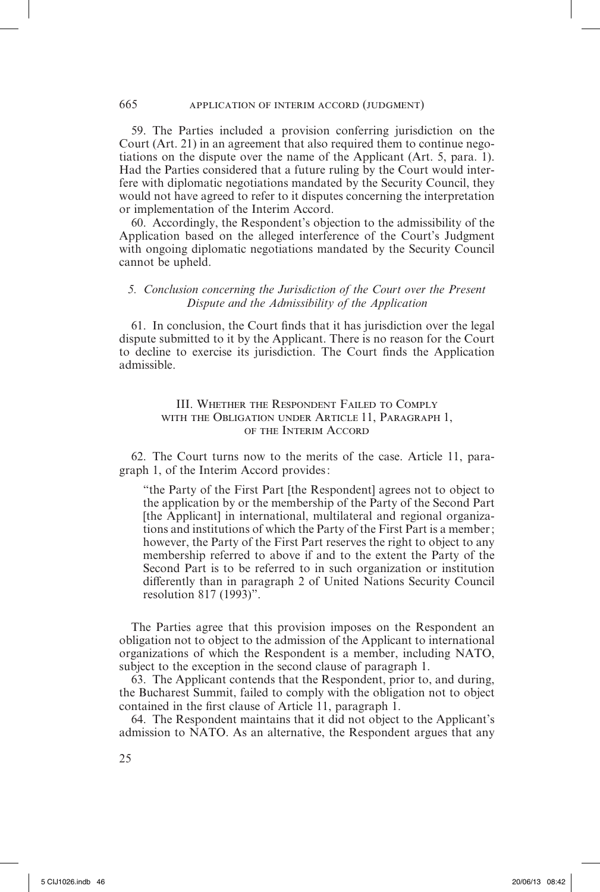59. The Parties included a provision conferring jurisdiction on the Court (Art. 21) in an agreement that also required them to continue negotiations on the dispute over the name of the Applicant (Art. 5, para. 1). Had the Parties considered that a future ruling by the Court would interfere with diplomatic negotiations mandated by the Security Council, they would not have agreed to refer to it disputes concerning the interpretation or implementation of the Interim Accord.

60. Accordingly, the Respondent's objection to the admissibility of the Application based on the alleged interference of the Court's Judgment with ongoing diplomatic negotiations mandated by the Security Council cannot be upheld.

# *5. Conclusion concerning the Jurisdiction of the Court over the Present Dispute and the Admissibility of the Application*

61. In conclusion, the Court finds that it has jurisdiction over the legal dispute submitted to it by the Applicant. There is no reason for the Court to decline to exercise its jurisdiction. The Court finds the Application admissible.

# III. Whether the Respondent Failed to Comply WITH THE OBLIGATION UNDER ARTICLE 11, PARAGRAPH 1, of the Interim Accord

62. The Court turns now to the merits of the case. Article 11, para– graph 1, of the Interim Accord provides:

"the Party of the First Part [the Respondent] agrees not to object to the application by or the membership of the Party of the Second Part [the Applicant] in international, multilateral and regional organiza– tions and institutions of which the Party of the First Part is a member; however, the Party of the First Part reserves the right to object to any membership referred to above if and to the extent the Party of the Second Part is to be referred to in such organization or institution differently than in paragraph 2 of United Nations Security Council resolution 817 (1993)".

The Parties agree that this provision imposes on the Respondent an obligation not to object to the admission of the Applicant to international organizations of which the Respondent is a member, including NATO, subject to the exception in the second clause of paragraph 1.

63. The Applicant contends that the Respondent, prior to, and during, the Bucharest Summit, failed to comply with the obligation not to object contained in the first clause of Article 11, paragraph 1.

64. The Respondent maintains that it did not object to the Applicant's admission to NATO. As an alternative, the Respondent argues that any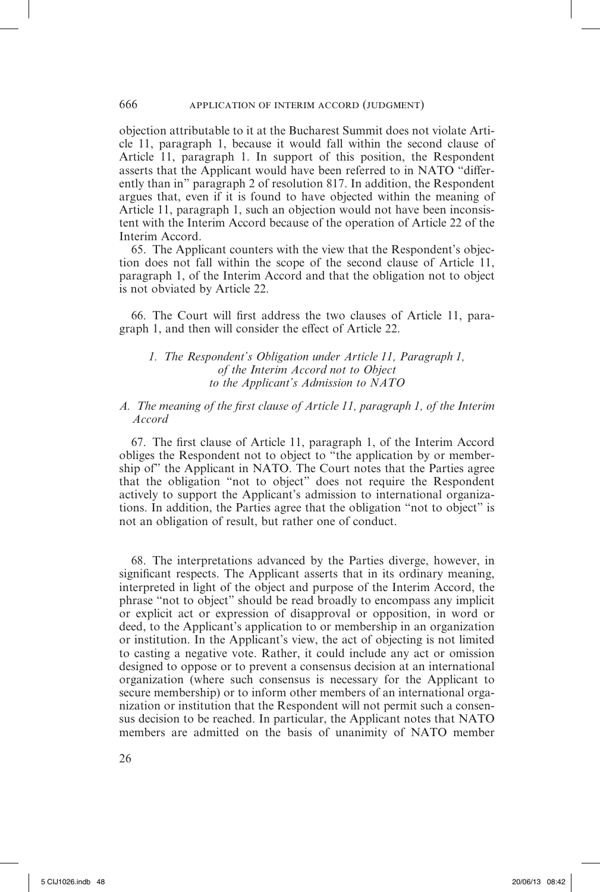objection attributable to it at the Bucharest Summit does not violate Arti‑ cle 11, paragraph 1, because it would fall within the second clause of Article 11, paragraph 1. In support of this position, the Respondent asserts that the Applicant would have been referred to in NATO "differently than in" paragraph 2 of resolution 817. In addition, the Respondent argues that, even if it is found to have objected within the meaning of Article 11, paragraph 1, such an objection would not have been inconsis tent with the Interim Accord because of the operation of Article 22 of the Interim Accord.

65. The Applicant counters with the view that the Respondent's objection does not fall within the scope of the second clause of Article 11, paragraph 1, of the Interim Accord and that the obligation not to object is not obviated by Article 22.

66. The Court will first address the two clauses of Article 11, paragraph 1, and then will consider the effect of Article 22.

# *1. The Respondent's Obligation under Article 11, Paragraph 1, of the Interim Accord not to Object to the Applicant's Admission to NATO*

#### *A. The meaning of the first clause of Article 11, paragraph 1, of the Interim Accord*

67. The first clause of Article 11, paragraph 1, of the Interim Accord obliges the Respondent not to object to "the application by or membership of" the Applicant in NATO. The Court notes that the Parties agree that the obligation "not to object" does not require the Respondent actively to support the Applicant's admission to international organizations. In addition, the Parties agree that the obligation "not to object" is not an obligation of result, but rather one of conduct.

68. The interpretations advanced by the Parties diverge, however, in significant respects. The Applicant asserts that in its ordinary meaning, interpreted in light of the object and purpose of the Interim Accord, the phrase "not to object" should be read broadly to encompass any implicit or explicit act or expression of disapproval or opposition, in word or deed, to the Applicant's application to or membership in an organization or institution. In the Applicant's view, the act of objecting is not limited to casting a negative vote. Rather, it could include any act or omission designed to oppose or to prevent a consensus decision at an international organization (where such consensus is necessary for the Applicant to secure membership) or to inform other members of an international organization or institution that the Respondent will not permit such a consensus decision to be reached. In particular, the Applicant notes that NATO members are admitted on the basis of unanimity of NATO member

5 CIJ1026.indb 48 20/06/13 08:42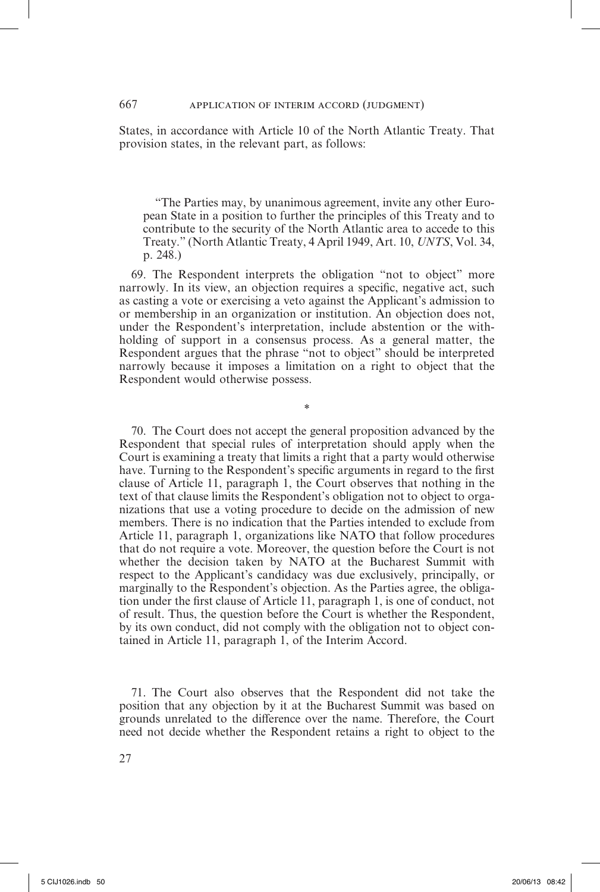States, in accordance with Article 10 of the North Atlantic Treaty. That provision states, in the relevant part, as follows:

"The Parties may, by unanimous agreement, invite any other European State in a position to further the principles of this Treaty and to contribute to the security of the North Atlantic area to accede to this Treaty." (North Atlantic Treaty, 4 April 1949, Art. 10, *UNTS*, Vol. 34, p. 248.)

69. The Respondent interprets the obligation "not to object" more narrowly. In its view, an objection requires a specific, negative act, such as casting a vote or exercising a veto against the Applicant's admission to or membership in an organization or institution. An objection does not, under the Respondent's interpretation, include abstention or the withholding of support in a consensus process. As a general matter, the Respondent argues that the phrase "not to object" should be interpreted narrowly because it imposes a limitation on a right to object that the Respondent would otherwise possess.

\*

70. The Court does not accept the general proposition advanced by the Respondent that special rules of interpretation should apply when the Court is examining a treaty that limits a right that a party would otherwise have. Turning to the Respondent's specific arguments in regard to the first clause of Article 11, paragraph 1, the Court observes that nothing in the text of that clause limits the Respondent's obligation not to object to organizations that use a voting procedure to decide on the admission of new members. There is no indication that the Parties intended to exclude from Article 11, paragraph 1, organizations like NATO that follow procedures that do not require a vote. Moreover, the question before the Court is not whether the decision taken by NATO at the Bucharest Summit with respect to the Applicant's candidacy was due exclusively, principally, or marginally to the Respondent's objection. As the Parties agree, the obligation under the first clause of Article 11, paragraph 1, is one of conduct, not of result. Thus, the question before the Court is whether the Respondent, by its own conduct, did not comply with the obligation not to object contained in Article 11, paragraph 1, of the Interim Accord.

71. The Court also observes that the Respondent did not take the position that any objection by it at the Bucharest Summit was based on grounds unrelated to the difference over the name. Therefore, the Court need not decide whether the Respondent retains a right to object to the

5 CIJ1026.indb 50 20/06/13 08:42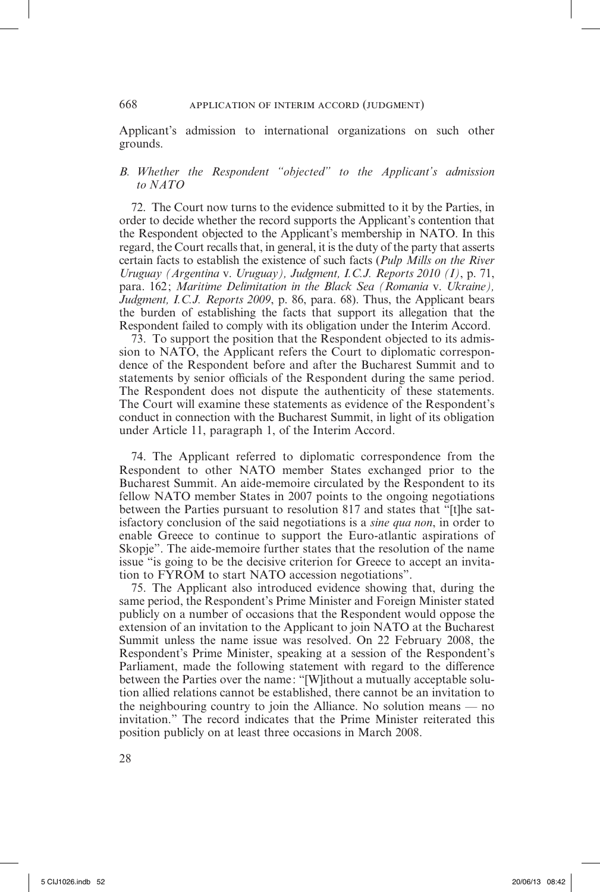Applicant's admission to international organizations on such other grounds.

#### *B. Whether the Respondent "objected" to the Applicant's admission to NATO*

72. The Court now turns to the evidence submitted to it by the Parties, in order to decide whether the record supports the Applicant's contention that the Respondent objected to the Applicant's membership in NATO. In this regard, the Court recalls that, in general, it is the duty of the party that asserts certain facts to establish the existence of such facts (*Pulp Mills on the River Uruguay (Argentina* v. *Uruguay), Judgment, I.C.J. Reports 2010 (I)*, p. 71, para. 162; *Maritime Delimitation in the Black Sea (Romania* v. *Ukraine), Judgment, I.C.J. Reports 2009*, p. 86, para. 68). Thus, the Applicant bears the burden of establishing the facts that support its allegation that the Respondent failed to comply with its obligation under the Interim Accord.

73. To support the position that the Respondent objected to its admis‑ sion to NATO, the Applicant refers the Court to diplomatic correspondence of the Respondent before and after the Bucharest Summit and to statements by senior officials of the Respondent during the same period. The Respondent does not dispute the authenticity of these statements. The Court will examine these statements as evidence of the Respondent's conduct in connection with the Bucharest Summit, in light of its obligation under Article 11, paragraph 1, of the Interim Accord.

74. The Applicant referred to diplomatic correspondence from the Respondent to other NATO member States exchanged prior to the Bucharest Summit. An aide-memoire circulated by the Respondent to its fellow NATO member States in 2007 points to the ongoing negotiations between the Parties pursuant to resolution 817 and states that "[t]he satisfactory conclusion of the said negotiations is a *sine qua non*, in order to enable Greece to continue to support the Euro-atlantic aspirations of Skopje". The aide-memoire further states that the resolution of the name issue "is going to be the decisive criterion for Greece to accept an invita tion to FYROM to start NATO accession negotiations".

75. The Applicant also introduced evidence showing that, during the same period, the Respondent's Prime Minister and Foreign Minister stated publicly on a number of occasions that the Respondent would oppose the extension of an invitation to the Applicant to join NATO at the Bucharest Summit unless the name issue was resolved. On 22 February 2008, the Respondent's Prime Minister, speaking at a session of the Respondent's Parliament, made the following statement with regard to the difference between the Parties over the name: "[W]ithout a mutually acceptable solution allied relations cannot be established, there cannot be an invitation to the neighbouring country to join the Alliance. No solution means — no invitation." The record indicates that the Prime Minister reiterated this position publicly on at least three occasions in March 2008.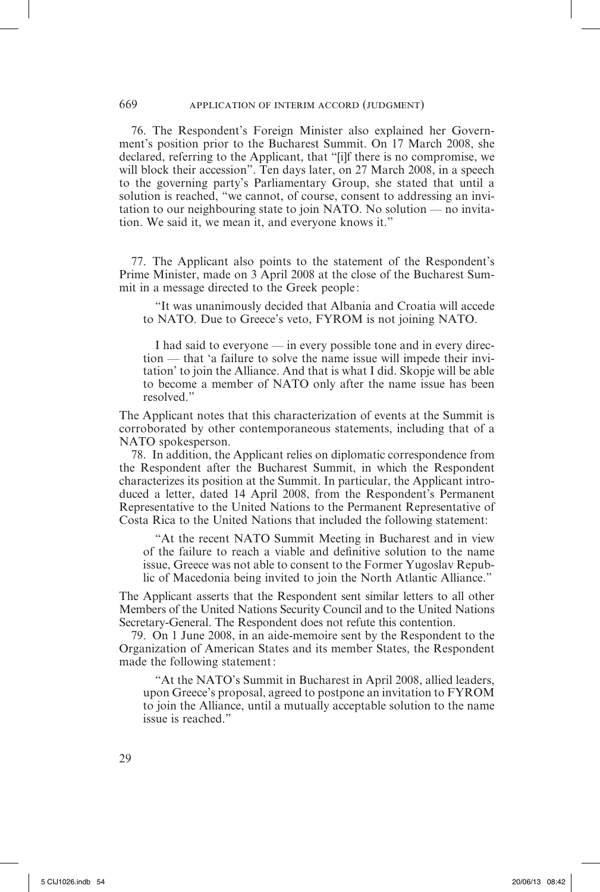76. The Respondent's Foreign Minister also explained her Government's position prior to the Bucharest Summit. On 17 March 2008, she declared, referring to the Applicant, that "[i]f there is no compromise, we will block their accession". Ten days later, on 27 March 2008, in a speech to the governing party's Parliamentary Group, she stated that until a solution is reached, "we cannot, of course, consent to addressing an invitation to our neighbouring state to join NATO. No solution  $-$  no invitation. We said it, we mean it, and everyone knows it."

77. The Applicant also points to the statement of the Respondent's Prime Minister, made on 3 April 2008 at the close of the Bucharest Summit in a message directed to the Greek people :

"It was unanimously decided that Albania and Croatia will accede to NATO. Due to Greece's veto, FYROM is not joining NATO.

I had said to everyone — in every possible tone and in every direc- $\phi$  that 'a failure to solve the name issue will impede their invitation' to join the Alliance. And that is what I did. Skopje will be able to become a member of NATO only after the name issue has been resolved."

The Applicant notes that this characterization of events at the Summit is corroborated by other contemporaneous statements, including that of a NATO spokesperson.

78. In addition, the Applicant relies on diplomatic correspondence from the Respondent after the Bucharest Summit, in which the Respondent characterizes its position at the Summit. In particular, the Applicant introduced a letter, dated 14 April 2008, from the Respondent's Permanent Representative to the United Nations to the Permanent Representative of Costa Rica to the United Nations that included the following statement:

"At the recent NATO Summit Meeting in Bucharest and in view of the failure to reach a viable and definitive solution to the name issue, Greece was not able to consent to the Former Yugoslav Republic of Macedonia being invited to join the North Atlantic Alliance."

The Applicant asserts that the Respondent sent similar letters to all other Members of the United Nations Security Council and to the United Nations Secretary‑General. The Respondent does not refute this contention.

79. On 1 June 2008, in an aide-memoire sent by the Respondent to the Organization of American States and its member States, the Respondent made the following statement:

"At the NATO's Summit in Bucharest in April 2008, allied leaders, upon Greece's proposal, agreed to postpone an invitation to FYROM to join the Alliance, until a mutually acceptable solution to the name issue is reached."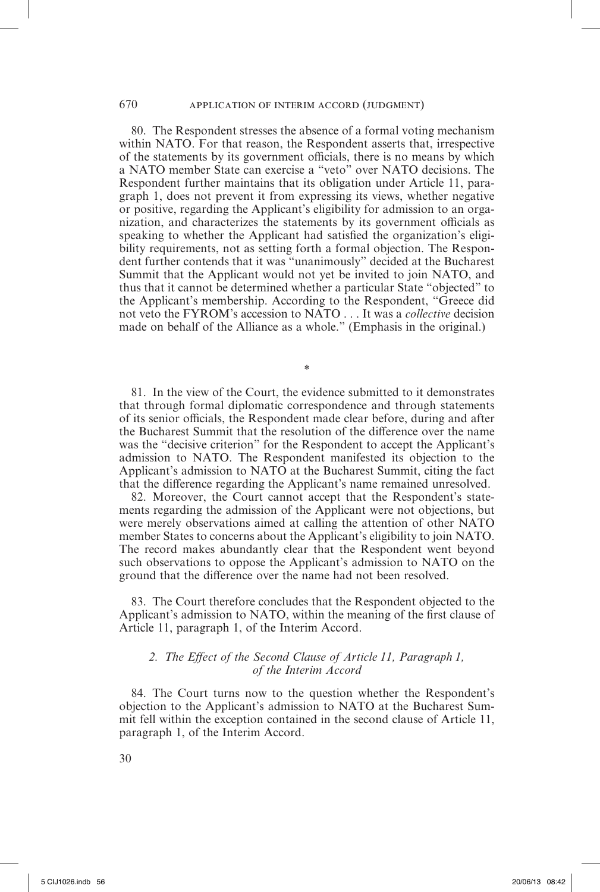80. The Respondent stresses the absence of a formal voting mechanism within NATO. For that reason, the Respondent asserts that, irrespective of the statements by its government officials, there is no means by which a NATO member State can exercise a "veto" over NATO decisions. The Respondent further maintains that its obligation under Article 11, para– graph 1, does not prevent it from expressing its views, whether negative or positive, regarding the Applicant's eligibility for admission to an organization, and characterizes the statements by its government officials as speaking to whether the Applicant had satisfied the organization's eligibility requirements, not as setting forth a formal objection. The Respondent further contends that it was "unanimously" decided at the Bucharest Summit that the Applicant would not yet be invited to join NATO, and thus that it cannot be determined whether a particular State "objected" to the Applicant's membership. According to the Respondent, "Greece did not veto the FYROM's accession to NATO . . . It was a *collective* decision made on behalf of the Alliance as a whole." (Emphasis in the original.)

81. In the view of the Court, the evidence submitted to it demonstrates that through formal diplomatic correspondence and through statements of its senior officials, the Respondent made clear before, during and after the Bucharest Summit that the resolution of the difference over the name was the "decisive criterion" for the Respondent to accept the Applicant's admission to NATO. The Respondent manifested its objection to the Applicant's admission to NATO at the Bucharest Summit, citing the fact that the difference regarding the Applicant's name remained unresolved.

\*

82. Moreover, the Court cannot accept that the Respondent's state– ments regarding the admission of the Applicant were not objections, but were merely observations aimed at calling the attention of other NATO member States to concerns about the Applicant's eligibility to join NATO. The record makes abundantly clear that the Respondent went beyond such observations to oppose the Applicant's admission to NATO on the ground that the difference over the name had not been resolved.

83. The Court therefore concludes that the Respondent objected to the Applicant's admission to NATO, within the meaning of the first clause of Article 11, paragraph 1, of the Interim Accord.

# *2. The Effect of the Second Clause of Article 11, Paragraph 1, of the Interim Accord*

84. The Court turns now to the question whether the Respondent's objection to the Applicant's admission to NATO at the Bucharest Summit fell within the exception contained in the second clause of Article 11, paragraph 1, of the Interim Accord.

5 CIJ1026.indb 56 20/06/13 08:42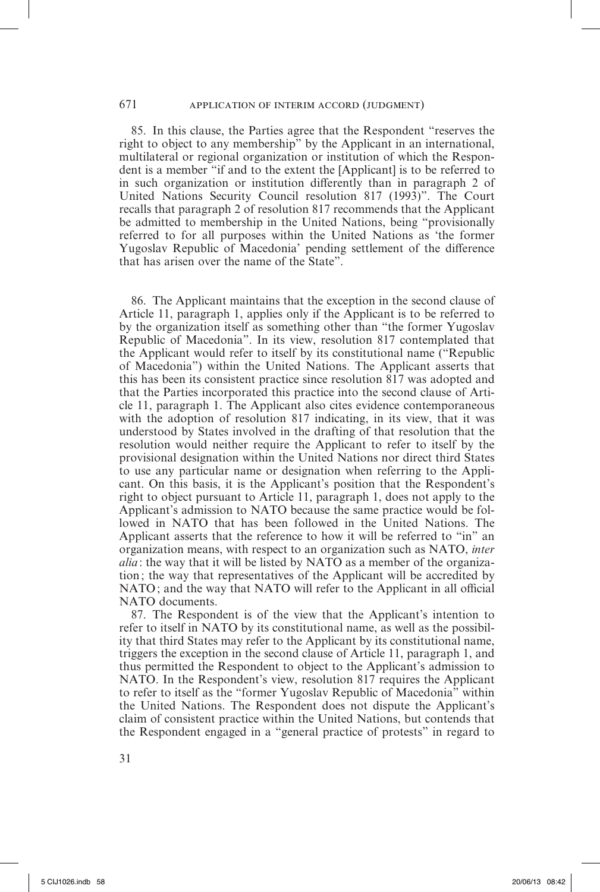85. In this clause, the Parties agree that the Respondent "reserves the right to object to any membership" by the Applicant in an international, multilateral or regional organization or institution of which the Respondent is a member "if and to the extent the [Applicant] is to be referred to in such organization or institution differently than in paragraph 2 of United Nations Security Council resolution 817 (1993)". The Court recalls that paragraph 2 of resolution 817 recommends that the Applicant be admitted to membership in the United Nations, being "provisionally referred to for all purposes within the United Nations as 'the former Yugoslav Republic of Macedonia' pending settlement of the difference that has arisen over the name of the State".

86. The Applicant maintains that the exception in the second clause of Article 11, paragraph 1, applies only if the Applicant is to be referred to by the organization itself as something other than "the former Yugoslav Republic of Macedonia". In its view, resolution 817 contemplated that the Applicant would refer to itself by its constitutional name ("Republic of Macedonia") within the United Nations. The Applicant asserts that this has been its consistent practice since resolution 817 was adopted and that the Parties incorporated this practice into the second clause of Article 11, paragraph 1. The Applicant also cites evidence contemporaneous with the adoption of resolution 817 indicating, in its view, that it was understood by States involved in the drafting of that resolution that the resolution would neither require the Applicant to refer to itself by the provisional designation within the United Nations nor direct third States to use any particular name or designation when referring to the Applicant. On this basis, it is the Applicant's position that the Respondent's right to object pursuant to Article 11, paragraph 1, does not apply to the Applicant's admission to NATO because the same practice would be followed in NATO that has been followed in the United Nations. The Applicant asserts that the reference to how it will be referred to "in" an organization means, with respect to an organization such as NATO, *inter alia*: the way that it will be listed by NATO as a member of the organization; the way that representatives of the Applicant will be accredited by NATO; and the way that NATO will refer to the Applicant in all official NATO documents.

87. The Respondent is of the view that the Applicant's intention to refer to itself in NATO by its constitutional name, as well as the possibility that third States may refer to the Applicant by its constitutional name, triggers the exception in the second clause of Article 11, paragraph 1, and thus permitted the Respondent to object to the Applicant's admission to NATO. In the Respondent's view, resolution 817 requires the Applicant to refer to itself as the "former Yugoslav Republic of Macedonia" within the United Nations. The Respondent does not dispute the Applicant's claim of consistent practice within the United Nations, but contends that the Respondent engaged in a "general practice of protests" in regard to

31

5 CIJ1026.indb 58 20/06/13 08:42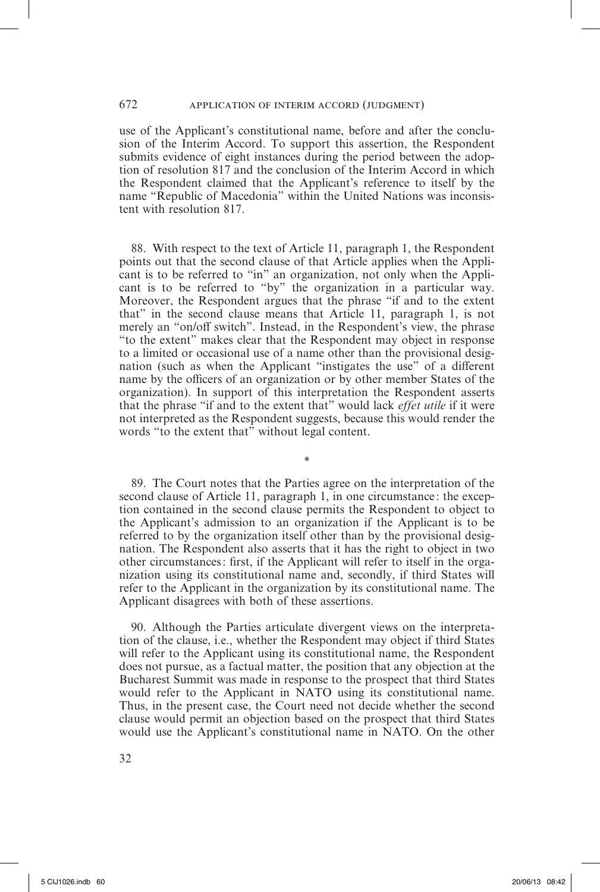use of the Applicant's constitutional name, before and after the conclusion of the Interim Accord. To support this assertion, the Respondent submits evidence of eight instances during the period between the adop– tion of resolution 817 and the conclusion of the Interim Accord in which the Respondent claimed that the Applicant's reference to itself by the name "Republic of Macedonia" within the United Nations was inconsistent with resolution 817.

88. With respect to the text of Article 11, paragraph 1, the Respondent points out that the second clause of that Article applies when the Applicant is to be referred to "in" an organization, not only when the Applicant is to be referred to "by" the organization in a particular way. Moreover, the Respondent argues that the phrase "if and to the extent that" in the second clause means that Article 11, paragraph 1, is not merely an "on/off switch". Instead, in the Respondent's view, the phrase "to the extent" makes clear that the Respondent may object in response to a limited or occasional use of a name other than the provisional designation (such as when the Applicant "instigates the use" of a different name by the officers of an organization or by other member States of the organization). In support of this interpretation the Respondent asserts that the phrase "if and to the extent that" would lack *effet utile* if it were not interpreted as the Respondent suggests, because this would render the words "to the extent that" without legal content.

89. The Court notes that the Parties agree on the interpretation of the second clause of Article 11, paragraph 1, in one circumstance: the exception contained in the second clause permits the Respondent to object to the Applicant's admission to an organization if the Applicant is to be referred to by the organization itself other than by the provisional designation. The Respondent also asserts that it has the right to object in two other circumstances: first, if the Applicant will refer to itself in the organization using its constitutional name and, secondly, if third States will refer to the Applicant in the organization by its constitutional name. The Applicant disagrees with both of these assertions.

\*

90. Although the Parties articulate divergent views on the interpreta– tion of the clause, i.e., whether the Respondent may object if third States will refer to the Applicant using its constitutional name, the Respondent does not pursue, as a factual matter, the position that any objection at the Bucharest Summit was made in response to the prospect that third States would refer to the Applicant in NATO using its constitutional name. Thus, in the present case, the Court need not decide whether the second clause would permit an objection based on the prospect that third States would use the Applicant's constitutional name in NATO. On the other

5 CIJ1026.indb 60 20/06/13 08:42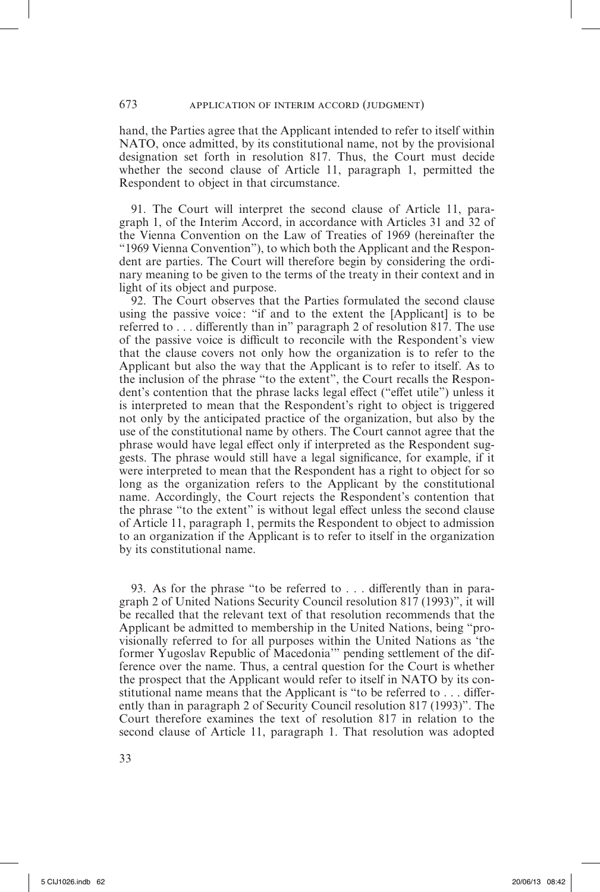hand, the Parties agree that the Applicant intended to refer to itself within NATO, once admitted, by its constitutional name, not by the provisional designation set forth in resolution 817. Thus, the Court must decide whether the second clause of Article 11, paragraph 1, permitted the Respondent to object in that circumstance.

91. The Court will interpret the second clause of Article 11, para‑ graph 1, of the Interim Accord, in accordance with Articles 31 and 32 of the Vienna Convention on the Law of Treaties of 1969 (hereinafter the "1969 Vienna Convention"), to which both the Applicant and the Respondent are parties. The Court will therefore begin by considering the ordinary meaning to be given to the terms of the treaty in their context and in light of its object and purpose.

92. The Court observes that the Parties formulated the second clause using the passive voice: "if and to the extent the [Applicant] is to be referred to . . . differently than in" paragraph 2 of resolution 817. The use of the passive voice is difficult to reconcile with the Respondent's view that the clause covers not only how the organization is to refer to the Applicant but also the way that the Applicant is to refer to itself. As to the inclusion of the phrase "to the extent", the Court recalls the Respondent's contention that the phrase lacks legal effect ("effet utile") unless it is interpreted to mean that the Respondent's right to object is triggered not only by the anticipated practice of the organization, but also by the use of the constitutional name by others. The Court cannot agree that the phrase would have legal effect only if interpreted as the Respondent suggests. The phrase would still have a legal significance, for example, if it were interpreted to mean that the Respondent has a right to object for so long as the organization refers to the Applicant by the constitutional name. Accordingly, the Court rejects the Respondent's contention that the phrase "to the extent" is without legal effect unless the second clause of Article 11, paragraph 1, permits the Respondent to object to admission to an organization if the Applicant is to refer to itself in the organization by its constitutional name.

93. As for the phrase "to be referred to . . . differently than in paragraph 2 of United Nations Security Council resolution 817 (1993)", it will be recalled that the relevant text of that resolution recommends that the Applicant be admitted to membership in the United Nations, being "provisionally referred to for all purposes within the United Nations as 'the former Yugoslav Republic of Macedonia" pending settlement of the difference over the name. Thus, a central question for the Court is whether the prospect that the Applicant would refer to itself in NATO by its constitutional name means that the Applicant is "to be referred to  $\dots$  differently than in paragraph 2 of Security Council resolution 817 (1993)". The Court therefore examines the text of resolution 817 in relation to the second clause of Article 11, paragraph 1. That resolution was adopted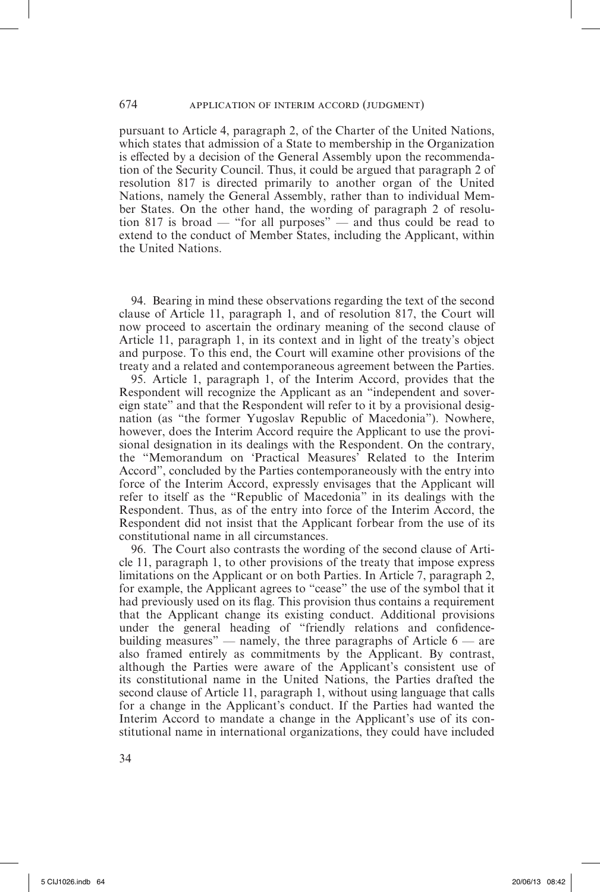pursuant to Article 4, paragraph 2, of the Charter of the United Nations, which states that admission of a State to membership in the Organization is effected by a decision of the General Assembly upon the recommendation of the Security Council. Thus, it could be argued that paragraph 2 of resolution 817 is directed primarily to another organ of the United Nations, namely the General Assembly, rather than to individual Member States. On the other hand, the wording of paragraph 2 of resolution 817 is broad — "for all purposes" — and thus could be read to extend to the conduct of Member States, including the Applicant, within the United Nations.

94. Bearing in mind these observations regarding the text of the second clause of Article 11, paragraph 1, and of resolution 817, the Court will now proceed to ascertain the ordinary meaning of the second clause of Article 11, paragraph 1, in its context and in light of the treaty's object and purpose. To this end, the Court will examine other provisions of the treaty and a related and contemporaneous agreement between the Parties.

95. Article 1, paragraph 1, of the Interim Accord, provides that the Respondent will recognize the Applicant as an "independent and sovereign state" and that the Respondent will refer to it by a provisional designation (as "the former Yugoslav Republic of Macedonia"). Nowhere, however, does the Interim Accord require the Applicant to use the provisional designation in its dealings with the Respondent. On the contrary, the "Memorandum on 'Practical Measures' Related to the Interim Accord", concluded by the Parties contemporaneously with the entry into force of the Interim Accord, expressly envisages that the Applicant will refer to itself as the "Republic of Macedonia" in its dealings with the Respondent. Thus, as of the entry into force of the Interim Accord, the Respondent did not insist that the Applicant forbear from the use of its constitutional name in all circumstances.

96. The Court also contrasts the wording of the second clause of Article 11, paragraph 1, to other provisions of the treaty that impose express limitations on the Applicant or on both Parties. In Article 7, paragraph 2, for example, the Applicant agrees to "cease" the use of the symbol that it had previously used on its flag. This provision thus contains a requirement that the Applicant change its existing conduct. Additional provisions under the general heading of "friendly relations and confidencebuilding measures" — namely, the three paragraphs of Article  $6$  — are also framed entirely as commitments by the Applicant. By contrast, although the Parties were aware of the Applicant's consistent use of its constitutional name in the United Nations, the Parties drafted the second clause of Article 11, paragraph 1, without using language that calls for a change in the Applicant's conduct. If the Parties had wanted the Interim Accord to mandate a change in the Applicant's use of its constitutional name in international organizations, they could have included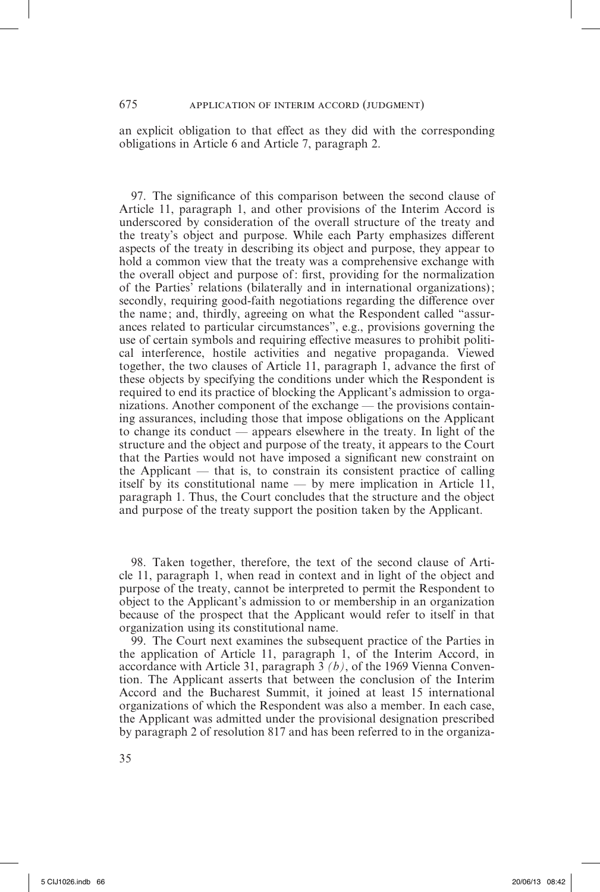an explicit obligation to that effect as they did with the corresponding obligations in Article 6 and Article 7, paragraph 2.

97. The significance of this comparison between the second clause of Article 11, paragraph 1, and other provisions of the Interim Accord is underscored by consideration of the overall structure of the treaty and the treaty's object and purpose. While each Party emphasizes different aspects of the treaty in describing its object and purpose, they appear to hold a common view that the treaty was a comprehensive exchange with the overall object and purpose of: first, providing for the normalization of the Parties' relations (bilaterally and in international organizations); secondly, requiring good-faith negotiations regarding the difference over the name; and, thirdly, agreeing on what the Respondent called "assurances related to particular circumstances", e.g., provisions governing the use of certain symbols and requiring effective measures to prohibit political interference, hostile activities and negative propaganda. Viewed together, the two clauses of Article 11, paragraph 1, advance the first of these objects by specifying the conditions under which the Respondent is required to end its practice of blocking the Applicant's admission to organizations. Another component of the exchange — the provisions contain– ing assurances, including those that impose obligations on the Applicant to change its conduct — appears elsewhere in the treaty. In light of the structure and the object and purpose of the treaty, it appears to the Court that the Parties would not have imposed a significant new constraint on the Applicant — that is, to constrain its consistent practice of calling itself by its constitutional name — by mere implication in Article 11, paragraph 1. Thus, the Court concludes that the structure and the object and purpose of the treaty support the position taken by the Applicant.

98. Taken together, therefore, the text of the second clause of Article 11, paragraph 1, when read in context and in light of the object and purpose of the treaty, cannot be interpreted to permit the Respondent to object to the Applicant's admission to or membership in an organization because of the prospect that the Applicant would refer to itself in that organization using its constitutional name.

99. The Court next examines the subsequent practice of the Parties in the application of Article 11, paragraph 1, of the Interim Accord, in accordance with Article 31, paragraph 3 *(b)*, of the 1969 Vienna Convention. The Applicant asserts that between the conclusion of the Interim Accord and the Bucharest Summit, it joined at least 15 international organizations of which the Respondent was also a member. In each case, the Applicant was admitted under the provisional designation prescribed by paragraph 2 of resolution 817 and has been referred to in the organiza-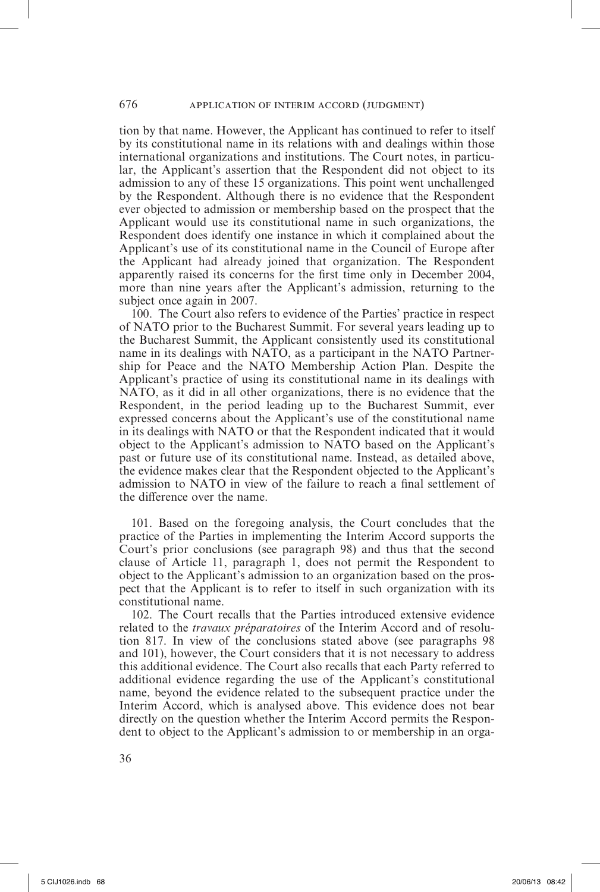tion by that name. However, the Applicant has continued to refer to itself by its constitutional name in its relations with and dealings within those international organizations and institutions. The Court notes, in particular, the Applicant's assertion that the Respondent did not object to its admission to any of these 15 organizations. This point went unchallenged by the Respondent. Although there is no evidence that the Respondent ever objected to admission or membership based on the prospect that the Applicant would use its constitutional name in such organizations, the Respondent does identify one instance in which it complained about the Applicant's use of its constitutional name in the Council of Europe after the Applicant had already joined that organization. The Respondent apparently raised its concerns for the first time only in December 2004, more than nine years after the Applicant's admission, returning to the subject once again in 2007.

100. The Court also refers to evidence of the Parties' practice in respect of NATO prior to the Bucharest Summit. For several years leading up to the Bucharest Summit, the Applicant consistently used its constitutional name in its dealings with NATO, as a participant in the NATO Partner– ship for Peace and the NATO Membership Action Plan. Despite the Applicant's practice of using its constitutional name in its dealings with NATO, as it did in all other organizations, there is no evidence that the Respondent, in the period leading up to the Bucharest Summit, ever expressed concerns about the Applicant's use of the constitutional name in its dealings with NATO or that the Respondent indicated that it would object to the Applicant's admission to NATO based on the Applicant's past or future use of its constitutional name. Instead, as detailed above, the evidence makes clear that the Respondent objected to the Applicant's admission to NATO in view of the failure to reach a final settlement of the difference over the name.

101. Based on the foregoing analysis, the Court concludes that the practice of the Parties in implementing the Interim Accord supports the Court's prior conclusions (see paragraph 98) and thus that the second clause of Article 11, paragraph 1, does not permit the Respondent to object to the Applicant's admission to an organization based on the prospect that the Applicant is to refer to itself in such organization with its constitutional name.

102. The Court recalls that the Parties introduced extensive evidence related to the *travaux préparatoires* of the Interim Accord and of resolution 817. In view of the conclusions stated above (see paragraphs 98 and 101), however, the Court considers that it is not necessary to address this additional evidence. The Court also recalls that each Party referred to additional evidence regarding the use of the Applicant's constitutional name, beyond the evidence related to the subsequent practice under the Interim Accord, which is analysed above. This evidence does not bear directly on the question whether the Interim Accord permits the Respondent to object to the Applicant's admission to or membership in an orga-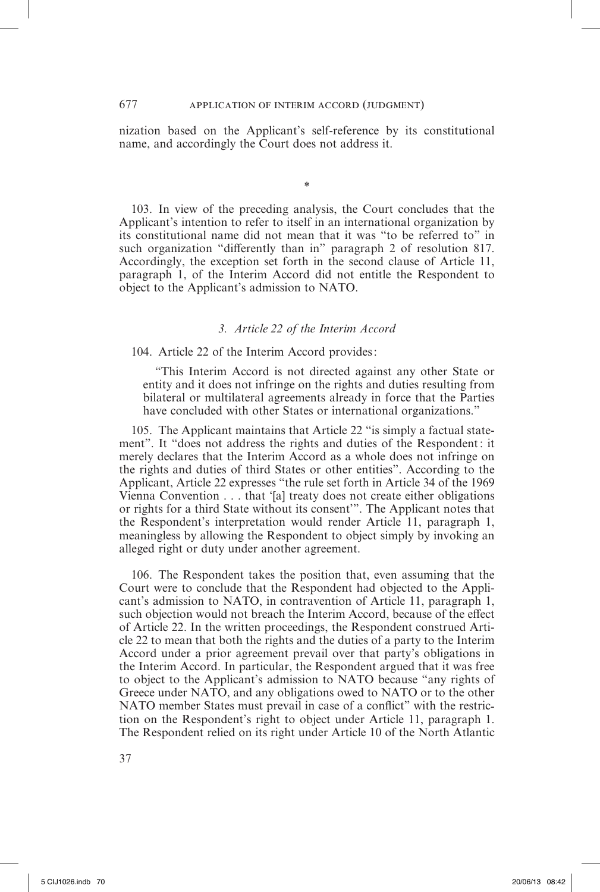nization based on the Applicant's self‑reference by its constitutional name, and accordingly the Court does not address it.

\*

103. In view of the preceding analysis, the Court concludes that the Applicant's intention to refer to itself in an international organization by its constitutional name did not mean that it was "to be referred to" in such organization "differently than in" paragraph 2 of resolution 817. Accordingly, the exception set forth in the second clause of Article 11, paragraph 1, of the Interim Accord did not entitle the Respondent to object to the Applicant's admission to NATO.

#### *3. Article 22 of the Interim Accord*

# 104. Article 22 of the Interim Accord provides:

"This Interim Accord is not directed against any other State or entity and it does not infringe on the rights and duties resulting from bilateral or multilateral agreements already in force that the Parties have concluded with other States or international organizations."

105. The Applicant maintains that Article 22 "is simply a factual state‑ ment". It "does not address the rights and duties of the Respondent: it merely declares that the Interim Accord as a whole does not infringe on the rights and duties of third States or other entities". According to the Applicant, Article 22 expresses "the rule set forth in Article 34 of the 1969 Vienna Convention . . . that '[a] treaty does not create either obligations or rights for a third State without its consent'". The Applicant notes that the Respondent's interpretation would render Article 11, paragraph 1, meaningless by allowing the Respondent to object simply by invoking an alleged right or duty under another agreement.

106. The Respondent takes the position that, even assuming that the Court were to conclude that the Respondent had objected to the Applicant's admission to NATO, in contravention of Article 11, paragraph 1, such objection would not breach the Interim Accord, because of the effect of Article 22. In the written proceedings, the Respondent construed Arti‑ cle 22 to mean that both the rights and the duties of a party to the Interim Accord under a prior agreement prevail over that party's obligations in the Interim Accord. In particular, the Respondent argued that it was free to object to the Applicant's admission to NATO because "any rights of Greece under NATO, and any obligations owed to NATO or to the other NATO member States must prevail in case of a conflict" with the restriction on the Respondent's right to object under Article 11, paragraph 1. The Respondent relied on its right under Article 10 of the North Atlantic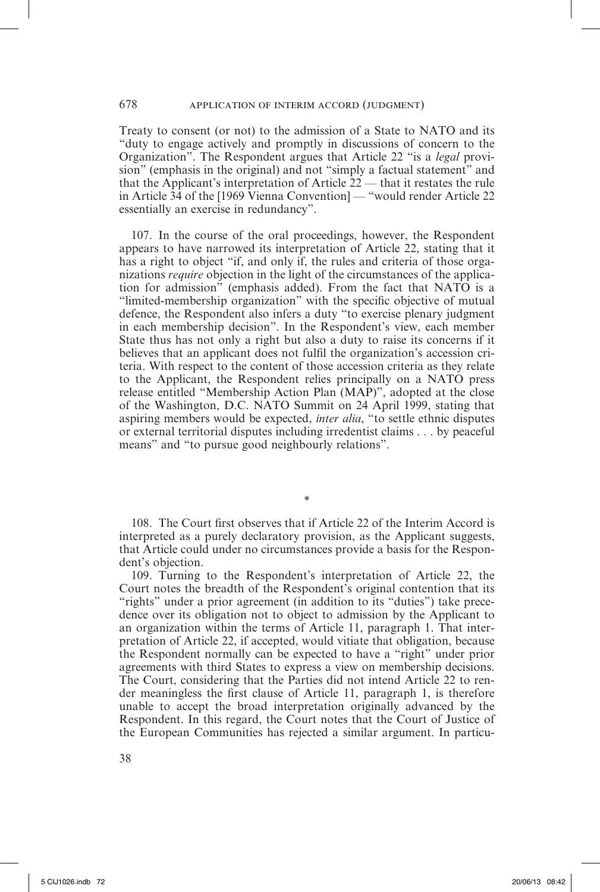Treaty to consent (or not) to the admission of a State to NATO and its "duty to engage actively and promptly in discussions of concern to the Organization". The Respondent argues that Article 22 "is a *legal* provi‑ sion" (emphasis in the original) and not "simply a factual statement" and that the Applicant's interpretation of Article 22 — that it restates the rule in Article 34 of the [1969 Vienna Convention] — "would render Article 22 essentially an exercise in redundancy".

107. In the course of the oral proceedings, however, the Respondent appears to have narrowed its interpretation of Article 22, stating that it has a right to object "if, and only if, the rules and criteria of those organizations *require* objection in the light of the circumstances of the application for admission" (emphasis added). From the fact that NATO is a "limited‑membership organization" with the specific objective of mutual defence, the Respondent also infers a duty "to exercise plenary judgment in each membership decision". In the Respondent's view, each member State thus has not only a right but also a duty to raise its concerns if it believes that an applicant does not fulfil the organization's accession criteria. With respect to the content of those accession criteria as they relate to the Applicant, the Respondent relies principally on a NATO press release entitled "Membership Action Plan (MAP)", adopted at the close of the Washington, D.C. NATO Summit on 24 April 1999, stating that aspiring members would be expected, *inter alia*, "to settle ethnic disputes or external territorial disputes including irredentist claims . . . by peaceful means" and "to pursue good neighbourly relations".

108. The Court first observes that if Article 22 of the Interim Accord is interpreted as a purely declaratory provision, as the Applicant suggests, that Article could under no circumstances provide a basis for the Respondent's objection.

\*

109. Turning to the Respondent's interpretation of Article 22, the Court notes the breadth of the Respondent's original contention that its "rights" under a prior agreement (in addition to its "duties") take precedence over its obligation not to object to admission by the Applicant to an organization within the terms of Article 11, paragraph 1. That interpretation of Article 22, if accepted, would vitiate that obligation, because the Respondent normally can be expected to have a "right" under prior agreements with third States to express a view on membership decisions. The Court, considering that the Parties did not intend Article 22 to ren der meaningless the first clause of Article 11, paragraph 1, is therefore unable to accept the broad interpretation originally advanced by the Respondent. In this regard, the Court notes that the Court of Justice of the European Communities has rejected a similar argument. In particu-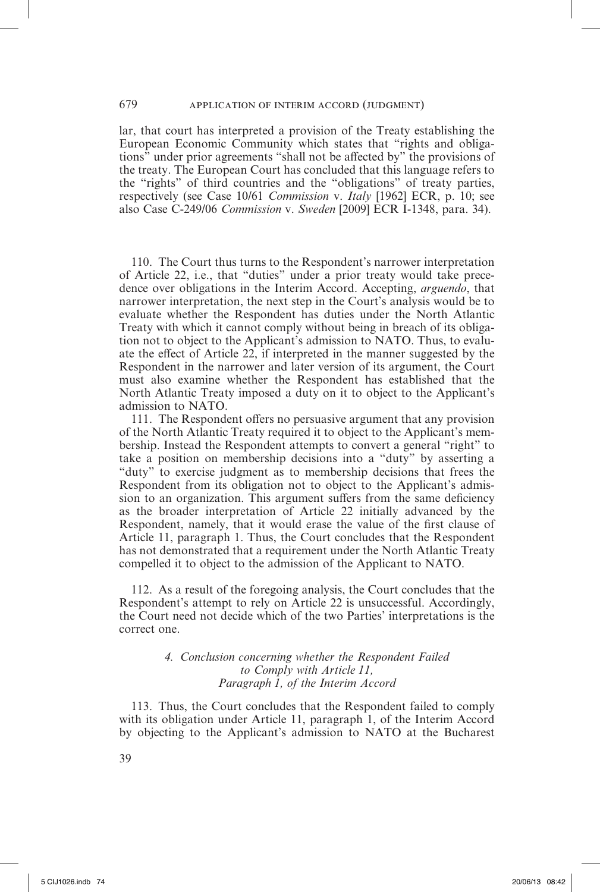lar, that court has interpreted a provision of the Treaty establishing the European Economic Community which states that "rights and obligations" under prior agreements "shall not be affected by" the provisions of the treaty. The European Court has concluded that this language refers to the "rights" of third countries and the "obligations" of treaty parties, respectively (see Case 10/61 *Commission* v. *Italy* [1962] ECR, p. 10; see also Case C‑249/06 *Commission* v. *Sweden* [2009] ECR I‑1348, para. 34).

110. The Court thus turns to the Respondent's narrower interpretation of Article 22, i.e., that "duties" under a prior treaty would take prece‑ dence over obligations in the Interim Accord. Accepting, *arguendo*, that narrower interpretation, the next step in the Court's analysis would be to evaluate whether the Respondent has duties under the North Atlantic Treaty with which it cannot comply without being in breach of its obligation not to object to the Applicant's admission to NATO. Thus, to evaluate the effect of Article 22, if interpreted in the manner suggested by the Respondent in the narrower and later version of its argument, the Court must also examine whether the Respondent has established that the North Atlantic Treaty imposed a duty on it to object to the Applicant's admission to NATO.

111. The Respondent offers no persuasive argument that any provision of the North Atlantic Treaty required it to object to the Applicant's mem‑ bership. Instead the Respondent attempts to convert a general "right" to take a position on membership decisions into a "duty" by asserting a "duty" to exercise judgment as to membership decisions that frees the Respondent from its obligation not to object to the Applicant's admission to an organization. This argument suffers from the same deficiency as the broader interpretation of Article 22 initially advanced by the Respondent, namely, that it would erase the value of the first clause of Article 11, paragraph 1. Thus, the Court concludes that the Respondent has not demonstrated that a requirement under the North Atlantic Treaty compelled it to object to the admission of the Applicant to NATO.

112. As a result of the foregoing analysis, the Court concludes that the Respondent's attempt to rely on Article 22 is unsuccessful. Accordingly, the Court need not decide which of the two Parties' interpretations is the correct one.

# *4. Conclusion concerning whether the Respondent Failed to Comply with Article 11, Paragraph 1, of the Interim Accord*

113. Thus, the Court concludes that the Respondent failed to comply with its obligation under Article 11, paragraph 1, of the Interim Accord by objecting to the Applicant's admission to NATO at the Bucharest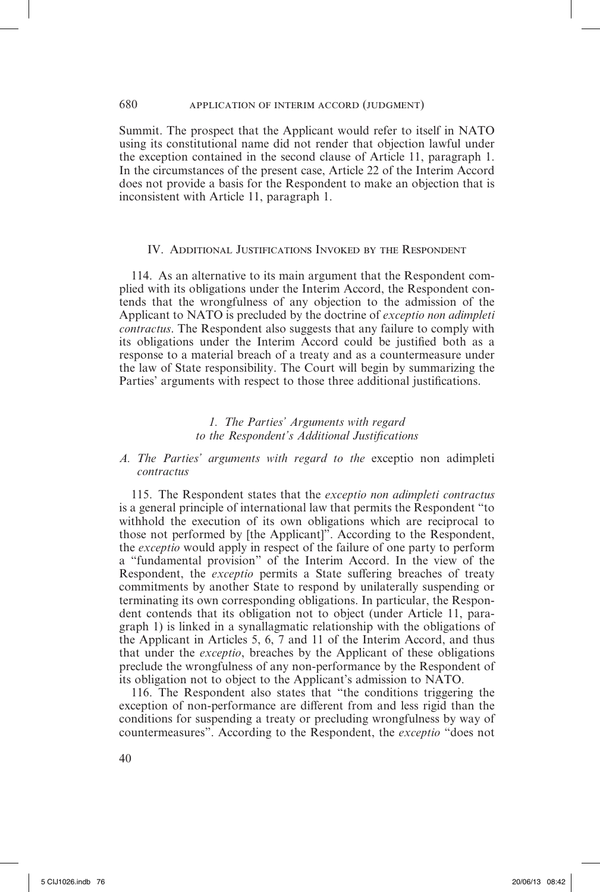Summit. The prospect that the Applicant would refer to itself in NATO using its constitutional name did not render that objection lawful under the exception contained in the second clause of Article 11, paragraph 1. In the circumstances of the present case, Article 22 of the Interim Accord does not provide a basis for the Respondent to make an objection that is inconsistent with Article 11, paragraph 1.

#### IV. Additional Justifications Invoked by the Respondent

114. As an alternative to its main argument that the Respondent com‑ plied with its obligations under the Interim Accord, the Respondent contends that the wrongfulness of any objection to the admission of the Applicant to NATO is precluded by the doctrine of *exceptio non adimpleti contractus*. The Respondent also suggests that any failure to comply with its obligations under the Interim Accord could be justified both as a response to a material breach of a treaty and as a countermeasure under the law of State responsibility. The Court will begin by summarizing the Parties' arguments with respect to those three additional justifications.

#### *1. The Parties' Arguments with regard to the Respondent's Additional Justifications*

# *A. The Parties' arguments with regard to the* exceptio non adimpleti *contractus*

115. The Respondent states that the *exceptio non adimpleti contractus* is a general principle of international law that permits the Respondent "to withhold the execution of its own obligations which are reciprocal to those not performed by [the Applicant]". According to the Respondent, the *exceptio* would apply in respect of the failure of one party to perform a "fundamental provision" of the Interim Accord. In the view of the Respondent, the *exceptio* permits a State suffering breaches of treaty commitments by another State to respond by unilaterally suspending or terminating its own corresponding obligations. In particular, the Respon‑ dent contends that its obligation not to object (under Article 11, para– graph 1) is linked in a synallagmatic relationship with the obligations of the Applicant in Articles 5, 6, 7 and 11 of the Interim Accord, and thus that under the *exceptio*, breaches by the Applicant of these obligations preclude the wrongfulness of any non‑performance by the Respondent of its obligation not to object to the Applicant's admission to NATO.

116. The Respondent also states that "the conditions triggering the exception of non‑performance are different from and less rigid than the conditions for suspending a treaty or precluding wrongfulness by way of countermeasures". According to the Respondent, the *exceptio* "does not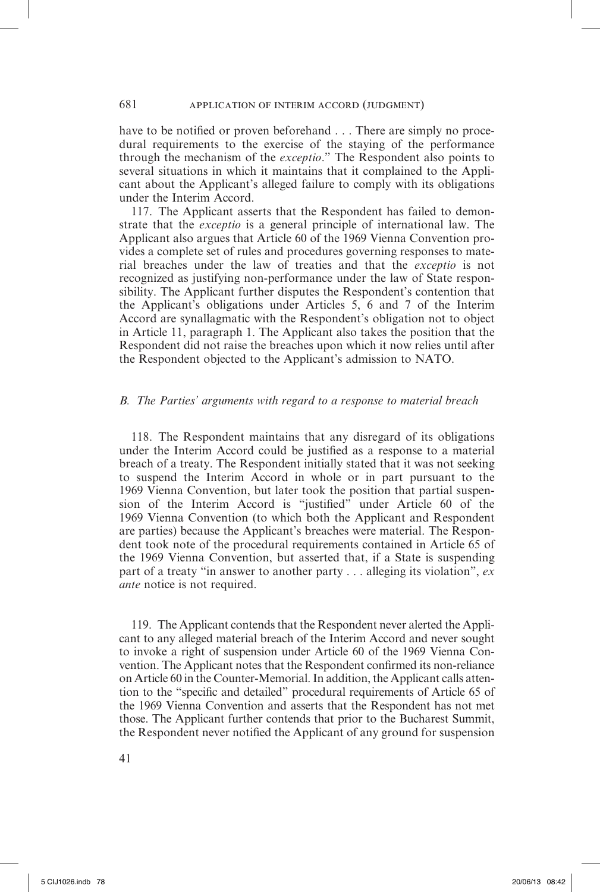have to be notified or proven beforehand . . . There are simply no procedural requirements to the exercise of the staying of the performance through the mechanism of the *exceptio*." The Respondent also points to several situations in which it maintains that it complained to the Applicant about the Applicant's alleged failure to comply with its obligations under the Interim Accord.

117. The Applicant asserts that the Respondent has failed to demonstrate that the *exceptio* is a general principle of international law. The Applicant also argues that Article 60 of the 1969 Vienna Convention provides a complete set of rules and procedures governing responses to mate‑ rial breaches under the law of treaties and that the *exceptio* is not recognized as justifying non-performance under the law of State responsibility. The Applicant further disputes the Respondent's contention that the Applicant's obligations under Articles 5, 6 and 7 of the Interim Accord are synallagmatic with the Respondent's obligation not to object in Article 11, paragraph 1. The Applicant also takes the position that the Respondent did not raise the breaches upon which it now relies until after the Respondent objected to the Applicant's admission to NATO.

#### *B. The Parties' arguments with regard to a response to material breach*

118. The Respondent maintains that any disregard of its obligations under the Interim Accord could be justified as a response to a material breach of a treaty. The Respondent initially stated that it was not seeking to suspend the Interim Accord in whole or in part pursuant to the 1969 Vienna Convention, but later took the position that partial suspension of the Interim Accord is "justified" under Article 60 of the 1969 Vienna Convention (to which both the Applicant and Respondent are parties) because the Applicant's breaches were material. The Respondent took note of the procedural requirements contained in Article 65 of the 1969 Vienna Convention, but asserted that, if a State is suspending part of a treaty "in answer to another party . . . alleging its violation", *ex ante* notice is not required.

119. The Applicant contends that the Respondent never alerted the Applicant to any alleged material breach of the Interim Accord and never sought to invoke a right of suspension under Article 60 of the 1969 Vienna Convention. The Applicant notes that the Respondent confirmed its non‑reliance on Article 60 in the Counter–Memorial. In addition, the Applicant calls atten– tion to the "specific and detailed" procedural requirements of Article 65 of the 1969 Vienna Convention and asserts that the Respondent has not met those. The Applicant further contends that prior to the Bucharest Summit, the Respondent never notified the Applicant of any ground for suspension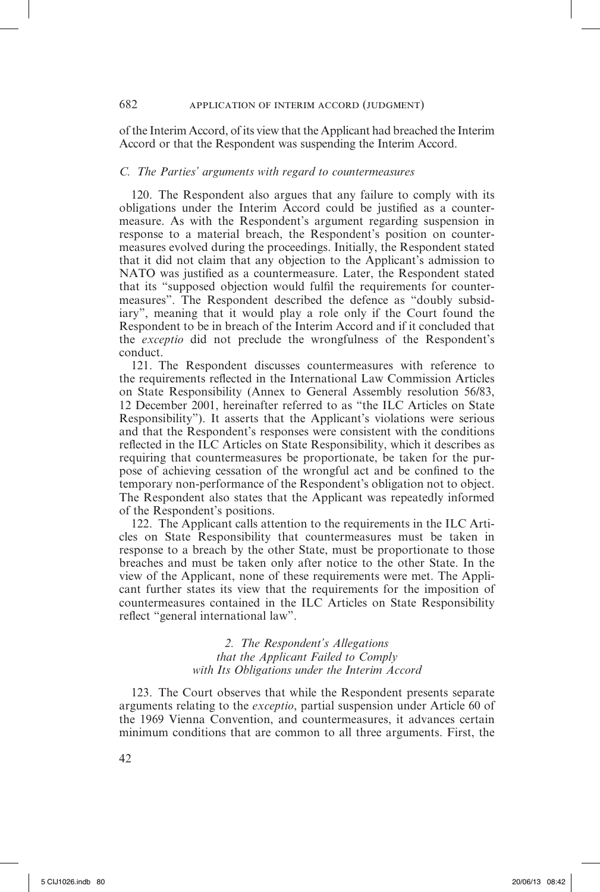of the Interim Accord, of its view that the Applicant had breached the Interim Accord or that the Respondent was suspending the Interim Accord.

#### *C. The Parties' arguments with regard to countermeasures*

120. The Respondent also argues that any failure to comply with its obligations under the Interim Accord could be justified as a counter‑ measure. As with the Respondent's argument regarding suspension in response to a material breach, the Respondent's position on countermeasures evolved during the proceedings. Initially, the Respondent stated that it did not claim that any objection to the Applicant's admission to NATO was justified as a countermeasure. Later, the Respondent stated that its "supposed objection would fulfil the requirements for countermeasures". The Respondent described the defence as "doubly subsidiary", meaning that it would play a role only if the Court found the Respondent to be in breach of the Interim Accord and if it concluded that the *exceptio* did not preclude the wrongfulness of the Respondent's conduct.

121. The Respondent discusses countermeasures with reference to the requirements reflected in the International Law Commission Articles on State Responsibility (Annex to General Assembly resolution 56/83, 12 December 2001, hereinafter referred to as "the ILC Articles on State Responsibility"). It asserts that the Applicant's violations were serious and that the Respondent's responses were consistent with the conditions reflected in the ILC Articles on State Responsibility, which it describes as requiring that countermeasures be proportionate, be taken for the purpose of achieving cessation of the wrongful act and be confined to the temporary non‑performance of the Respondent's obligation not to object. The Respondent also states that the Applicant was repeatedly informed of the Respondent's positions.

122. The Applicant calls attention to the requirements in the ILC Articles on State Responsibility that countermeasures must be taken in response to a breach by the other State, must be proportionate to those breaches and must be taken only after notice to the other State. In the view of the Applicant, none of these requirements were met. The Applicant further states its view that the requirements for the imposition of countermeasures contained in the ILC Articles on State Responsibility reflect "general international law".

# *2. The Respondent's Allegations that the Applicant Failed to Comply with Its Obligations under the Interim Accord*

123. The Court observes that while the Respondent presents separate arguments relating to the *exceptio*, partial suspension under Article 60 of the 1969 Vienna Convention, and countermeasures, it advances certain minimum conditions that are common to all three arguments. First, the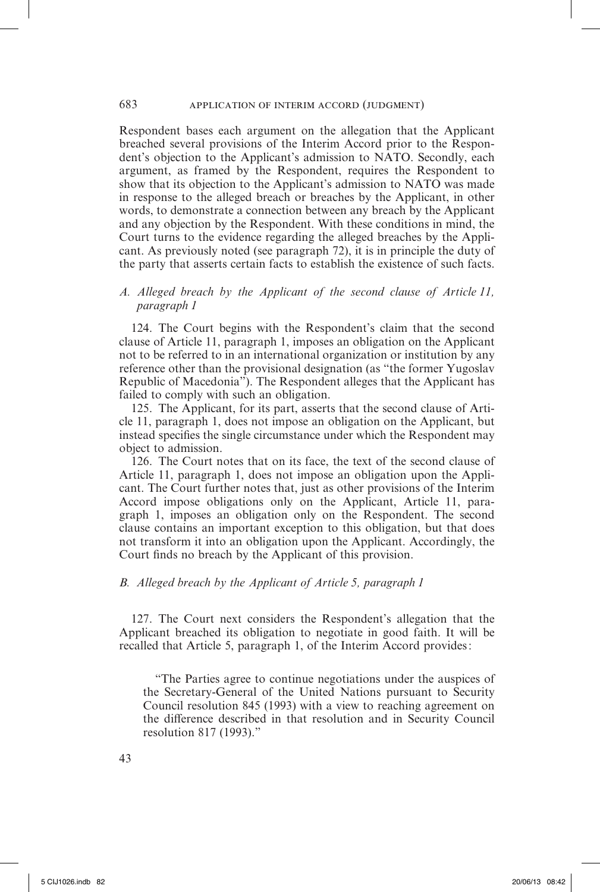Respondent bases each argument on the allegation that the Applicant breached several provisions of the Interim Accord prior to the Respondent's objection to the Applicant's admission to NATO. Secondly, each argument, as framed by the Respondent, requires the Respondent to show that its objection to the Applicant's admission to NATO was made in response to the alleged breach or breaches by the Applicant, in other words, to demonstrate a connection between any breach by the Applicant and any objection by the Respondent. With these conditions in mind, the Court turns to the evidence regarding the alleged breaches by the Applicant. As previously noted (see paragraph 72), it is in principle the duty of the party that asserts certain facts to establish the existence of such facts.

# *A. Alleged breach by the Applicant of the second clause of Article 11, paragraph 1*

124. The Court begins with the Respondent's claim that the second clause of Article 11, paragraph 1, imposes an obligation on the Applicant not to be referred to in an international organization or institution by any reference other than the provisional designation (as "the former Yugoslav Republic of Macedonia"). The Respondent alleges that the Applicant has failed to comply with such an obligation.

125. The Applicant, for its part, asserts that the second clause of Article 11, paragraph 1, does not impose an obligation on the Applicant, but instead specifies the single circumstance under which the Respondent may object to admission.

126. The Court notes that on its face, the text of the second clause of Article 11, paragraph 1, does not impose an obligation upon the Applicant. The Court further notes that, just as other provisions of the Interim Accord impose obligations only on the Applicant, Article 11, paragraph 1, imposes an obligation only on the Respondent. The second clause contains an important exception to this obligation, but that does not transform it into an obligation upon the Applicant. Accordingly, the Court finds no breach by the Applicant of this provision.

# *B. Alleged breach by the Applicant of Article 5, paragraph 1*

127. The Court next considers the Respondent's allegation that the Applicant breached its obligation to negotiate in good faith. It will be recalled that Article 5, paragraph 1, of the Interim Accord provides:

"The Parties agree to continue negotiations under the auspices of the Secretary‑General of the United Nations pursuant to Security Council resolution 845 (1993) with a view to reaching agreement on the difference described in that resolution and in Security Council resolution 817 (1993)."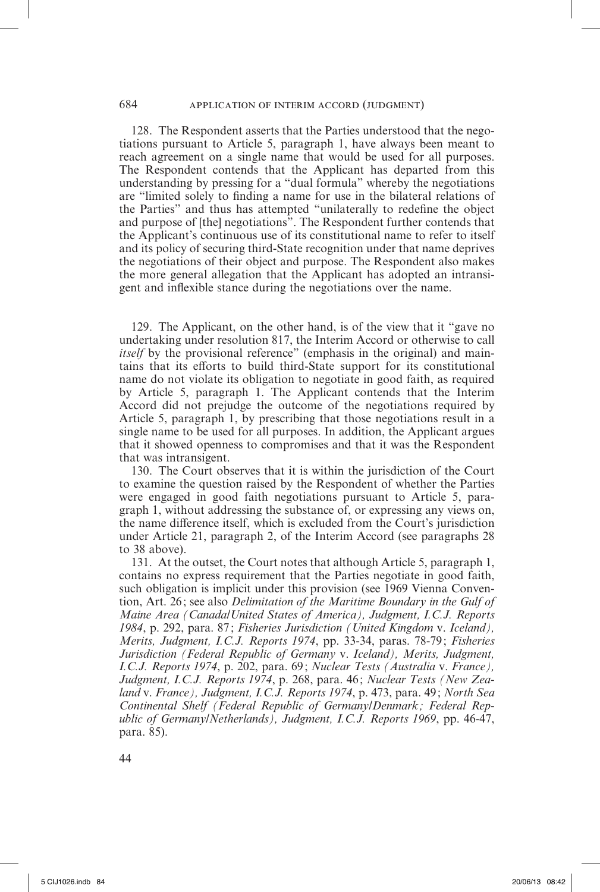128. The Respondent asserts that the Parties understood that the negotiations pursuant to Article 5, paragraph 1, have always been meant to reach agreement on a single name that would be used for all purposes. The Respondent contends that the Applicant has departed from this understanding by pressing for a "dual formula" whereby the negotiations are "limited solely to finding a name for use in the bilateral relations of the Parties" and thus has attempted "unilaterally to redefine the object and purpose of [the] negotiations". The Respondent further contends that the Applicant's continuous use of its constitutional name to refer to itself and its policy of securing third‑State recognition under that name deprives the negotiations of their object and purpose. The Respondent also makes the more general allegation that the Applicant has adopted an intransigent and inflexible stance during the negotiations over the name.

129. The Applicant, on the other hand, is of the view that it "gave no undertaking under resolution 817, the Interim Accord or otherwise to call *itself* by the provisional reference" (emphasis in the original) and main– tains that its efforts to build third‑State support for its constitutional name do not violate its obligation to negotiate in good faith, as required by Article 5, paragraph 1. The Applicant contends that the Interim Accord did not prejudge the outcome of the negotiations required by Article 5, paragraph 1, by prescribing that those negotiations result in a single name to be used for all purposes. In addition, the Applicant argues that it showed openness to compromises and that it was the Respondent that was intransigent.

130. The Court observes that it is within the jurisdiction of the Court to examine the question raised by the Respondent of whether the Parties were engaged in good faith negotiations pursuant to Article 5, paragraph 1, without addressing the substance of, or expressing any views on, the name difference itself, which is excluded from the Court's jurisdiction under Article 21, paragraph 2, of the Interim Accord (see paragraphs 28 to 38 above).

131. At the outset, the Court notes that although Article 5, paragraph 1, contains no express requirement that the Parties negotiate in good faith, such obligation is implicit under this provision (see 1969 Vienna Convention, Art. 26; see also *Delimitation of the Maritime Boundary in the Gulf of Maine Area (Canada/United States of America), Judgment, I.C.J. Reports 1984*, p. 292, para. 87; *Fisheries Jurisdiction (United Kingdom* v. *Iceland), Merits, Judgment, I.C.J. Reports 1974*, pp. 33‑34, paras. 78‑79; *Fisheries Jurisdiction (Federal Republic of Germany* v. *Iceland), Merits, Judgment, I.C.J. Reports 1974*, p. 202, para. 69; *Nuclear Tests (Australia* v. *France), Judgment, I.C.J. Reports 1974*, p. 268, para. 46; *Nuclear Tests (New Zea‑ land* v. *France), Judgment, I.C.J. Reports 1974*, p. 473, para. 49; *North Sea Continental Shelf (Federal Republic of Germany/Denmark; Federal Rep‑ ublic of Germany/Netherlands), Judgment, I.C.J. Reports 1969*, pp. 46‑47, para. 85).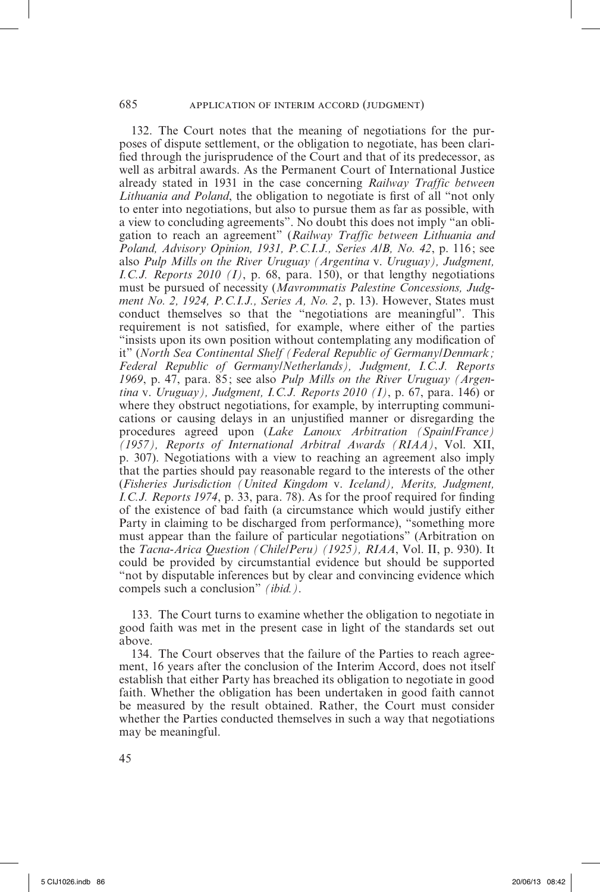132. The Court notes that the meaning of negotiations for the pur poses of dispute settlement, or the obligation to negotiate, has been clarified through the jurisprudence of the Court and that of its predecessor, as well as arbitral awards. As the Permanent Court of International Justice already stated in 1931 in the case concerning *Railway Traffic between Lithuania and Poland*, the obligation to negotiate is first of all "not only to enter into negotiations, but also to pursue them as far as possible, with a view to concluding agreements". No doubt this does not imply "an obligation to reach an agreement" (*Railway Traffic between Lithuania and Poland, Advisory Opinion, 1931, P.C.I.J., Series A/B, No. 42*, p. 116; see also *Pulp Mills on the River Uruguay (Argentina* v. *Uruguay), Judgment, I.C.J. Reports 2010 (I)*, p. 68, para. 150), or that lengthy negotiations must be pursued of necessity (*Mavrommatis Palestine Concessions, Judg‑ ment No. 2, 1924, P.C.I.J., Series A, No. 2*, p. 13). However, States must conduct themselves so that the "negotiations are meaningful". This requirement is not satisfied, for example, where either of the parties "insists upon its own position without contemplating any modification of it" (*North Sea Continental Shelf (Federal Republic of Germany/Denmark; Federal Republic of Germany/Netherlands), Judgment, I.C.J. Reports 1969*, p. 47, para. 85; see also *Pulp Mills on the River Uruguay (Argen‑ tina* v. *Uruguay), Judgment, I.C.J. Reports 2010 (I)*, p. 67, para. 146) or where they obstruct negotiations, for example, by interrupting communications or causing delays in an unjustified manner or disregarding the procedures agreed upon (*Lake Lanoux Arbitration (Spain/France) (1957), Reports of International Arbitral Awards (RIAA)*, Vol. XII, p. 307). Negotiations with a view to reaching an agreement also imply that the parties should pay reasonable regard to the interests of the other (*Fisheries Jurisdiction (United Kingdom* v. *Iceland), Merits, Judgment, I.C.J. Reports 1974*, p. 33, para. 78). As for the proof required for finding of the existence of bad faith (a circumstance which would justify either Party in claiming to be discharged from performance), "something more must appear than the failure of particular negotiations" (Arbitration on the *Tacna‑Arica Question (Chile/Peru) (1925), RIAA*, Vol. II, p. 930). It could be provided by circumstantial evidence but should be supported "not by disputable inferences but by clear and convincing evidence which compels such a conclusion" *(ibid.)*.

133. The Court turns to examine whether the obligation to negotiate in good faith was met in the present case in light of the standards set out above.

134. The Court observes that the failure of the Parties to reach agree– ment, 16 years after the conclusion of the Interim Accord, does not itself establish that either Party has breached its obligation to negotiate in good faith. Whether the obligation has been undertaken in good faith cannot be measured by the result obtained. Rather, the Court must consider whether the Parties conducted themselves in such a way that negotiations may be meaningful.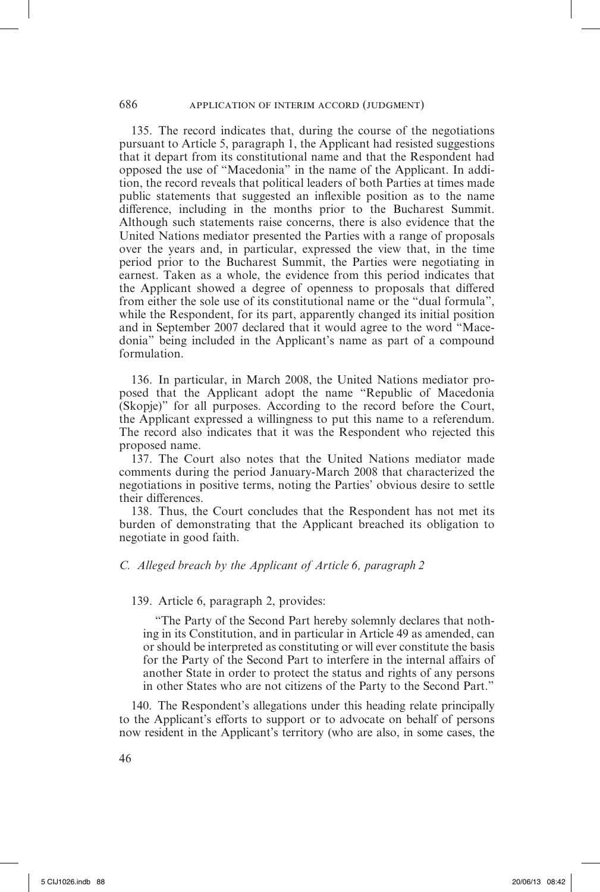135. The record indicates that, during the course of the negotiations pursuant to Article 5, paragraph 1, the Applicant had resisted suggestions that it depart from its constitutional name and that the Respondent had opposed the use of "Macedonia" in the name of the Applicant. In addition, the record reveals that political leaders of both Parties at times made public statements that suggested an inflexible position as to the name difference, including in the months prior to the Bucharest Summit. Although such statements raise concerns, there is also evidence that the United Nations mediator presented the Parties with a range of proposals over the years and, in particular, expressed the view that, in the time period prior to the Bucharest Summit, the Parties were negotiating in earnest. Taken as a whole, the evidence from this period indicates that the Applicant showed a degree of openness to proposals that differed from either the sole use of its constitutional name or the "dual formula", while the Respondent, for its part, apparently changed its initial position and in September 2007 declared that it would agree to the word "Macedonia" being included in the Applicant's name as part of a compound formulation.

136. In particular, in March 2008, the United Nations mediator proposed that the Applicant adopt the name "Republic of Macedonia (Skopje)" for all purposes. According to the record before the Court, the Applicant expressed a willingness to put this name to a referendum. The record also indicates that it was the Respondent who rejected this proposed name.

137. The Court also notes that the United Nations mediator made comments during the period January-March 2008 that characterized the negotiations in positive terms, noting the Parties' obvious desire to settle their differences.

138. Thus, the Court concludes that the Respondent has not met its burden of demonstrating that the Applicant breached its obligation to negotiate in good faith.

# *C. Alleged breach by the Applicant of Article 6, paragraph 2*

#### 139. Article 6, paragraph 2, provides:

"The Party of the Second Part hereby solemnly declares that nothing in its Constitution, and in particular in Article 49 as amended, can or should be interpreted as constituting or will ever constitute the basis for the Party of the Second Part to interfere in the internal affairs of another State in order to protect the status and rights of any persons in other States who are not citizens of the Party to the Second Part."

140. The Respondent's allegations under this heading relate principally to the Applicant's efforts to support or to advocate on behalf of persons now resident in the Applicant's territory (who are also, in some cases, the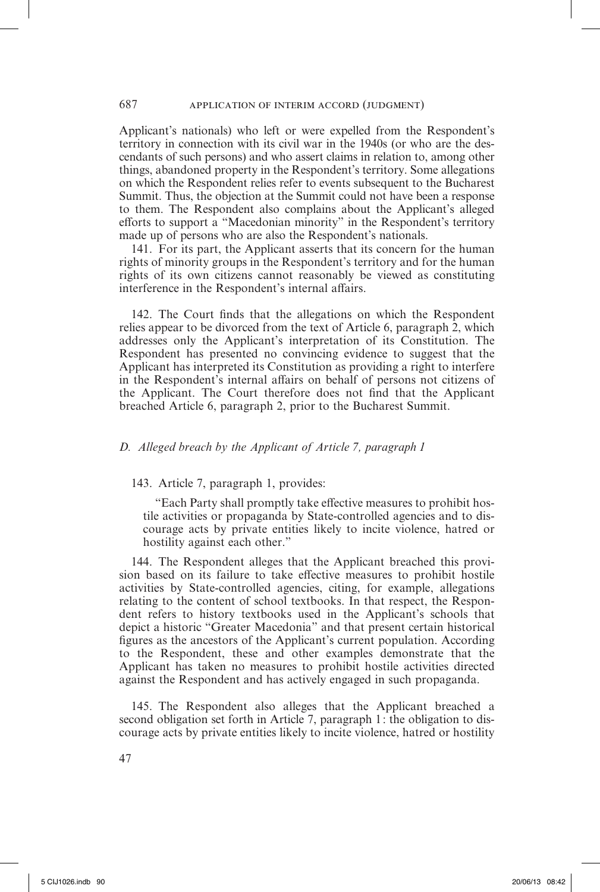Applicant's nationals) who left or were expelled from the Respondent's territory in connection with its civil war in the 1940s (or who are the descendants of such persons) and who assert claims in relation to, among other things, abandoned property in the Respondent's territory. Some allegations on which the Respondent relies refer to events subsequent to the Bucharest Summit. Thus, the objection at the Summit could not have been a response to them. The Respondent also complains about the Applicant's alleged efforts to support a "Macedonian minority" in the Respondent's territory made up of persons who are also the Respondent's nationals.

141. For its part, the Applicant asserts that its concern for the human rights of minority groups in the Respondent's territory and for the human rights of its own citizens cannot reasonably be viewed as constituting interference in the Respondent's internal affairs.

142. The Court finds that the allegations on which the Respondent relies appear to be divorced from the text of Article 6, paragraph 2, which addresses only the Applicant's interpretation of its Constitution. The Respondent has presented no convincing evidence to suggest that the Applicant has interpreted its Constitution as providing a right to interfere in the Respondent's internal affairs on behalf of persons not citizens of the Applicant. The Court therefore does not find that the Applicant breached Article 6, paragraph 2, prior to the Bucharest Summit.

# *D. Alleged breach by the Applicant of Article 7, paragraph 1*

#### 143. Article 7, paragraph 1, provides:

"Each Party shall promptly take effective measures to prohibit hos‑ tile activities or propaganda by State‑controlled agencies and to dis‑ courage acts by private entities likely to incite violence, hatred or hostility against each other."

144. The Respondent alleges that the Applicant breached this provision based on its failure to take effective measures to prohibit hostile activities by State‑controlled agencies, citing, for example, allegations relating to the content of school textbooks. In that respect, the Respondent refers to history textbooks used in the Applicant's schools that depict a historic "Greater Macedonia" and that present certain historical figures as the ancestors of the Applicant's current population. According to the Respondent, these and other examples demonstrate that the Applicant has taken no measures to prohibit hostile activities directed against the Respondent and has actively engaged in such propaganda.

145. The Respondent also alleges that the Applicant breached a second obligation set forth in Article 7, paragraph 1: the obligation to discourage acts by private entities likely to incite violence, hatred or hostility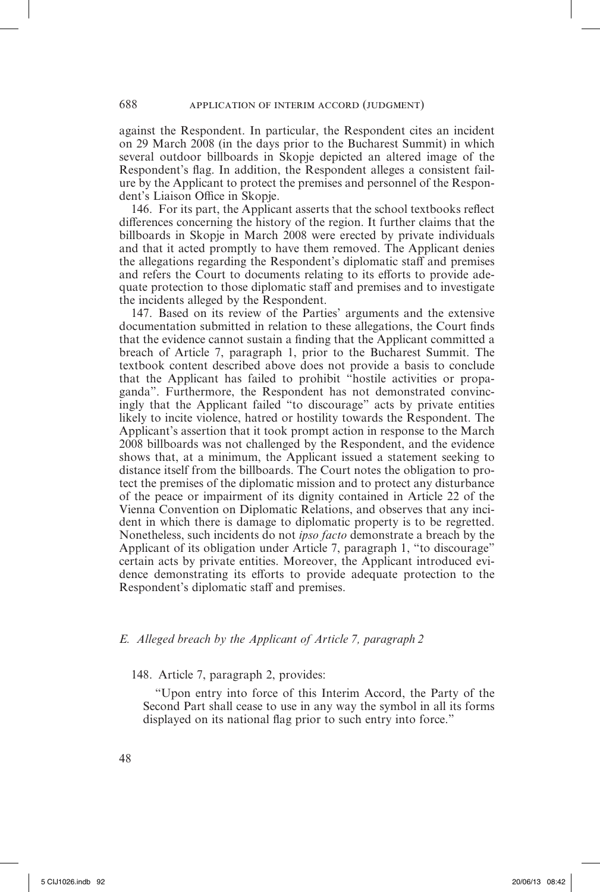against the Respondent. In particular, the Respondent cites an incident on 29 March 2008 (in the days prior to the Bucharest Summit) in which several outdoor billboards in Skopje depicted an altered image of the Respondent's flag. In addition, the Respondent alleges a consistent fail‑ ure by the Applicant to protect the premises and personnel of the Respondent's Liaison Office in Skopje.

146. For its part, the Applicant asserts that the school textbooks reflect differences concerning the history of the region. It further claims that the billboards in Skopje in March 2008 were erected by private individuals and that it acted promptly to have them removed. The Applicant denies the allegations regarding the Respondent's diplomatic staff and premises and refers the Court to documents relating to its efforts to provide adequate protection to those diplomatic staff and premises and to investigate the incidents alleged by the Respondent.

147. Based on its review of the Parties' arguments and the extensive documentation submitted in relation to these allegations, the Court finds that the evidence cannot sustain a finding that the Applicant committed a breach of Article 7, paragraph 1, prior to the Bucharest Summit. The textbook content described above does not provide a basis to conclude that the Applicant has failed to prohibit "hostile activities or propaganda". Furthermore, the Respondent has not demonstrated convinc ingly that the Applicant failed "to discourage" acts by private entities likely to incite violence, hatred or hostility towards the Respondent. The Applicant's assertion that it took prompt action in response to the March 2008 billboards was not challenged by the Respondent, and the evidence shows that, at a minimum, the Applicant issued a statement seeking to distance itself from the billboards. The Court notes the obligation to protect the premises of the diplomatic mission and to protect any disturbance of the peace or impairment of its dignity contained in Article 22 of the Vienna Convention on Diplomatic Relations, and observes that any incident in which there is damage to diplomatic property is to be regretted. Nonetheless, such incidents do not *ipso facto* demonstrate a breach by the Applicant of its obligation under Article 7, paragraph 1, "to discourage" certain acts by private entities. Moreover, the Applicant introduced evidence demonstrating its efforts to provide adequate protection to the Respondent's diplomatic staff and premises.

#### *E. Alleged breach by the Applicant of Article 7, paragraph 2*

148. Article 7, paragraph 2, provides:

"Upon entry into force of this Interim Accord, the Party of the Second Part shall cease to use in any way the symbol in all its forms displayed on its national flag prior to such entry into force."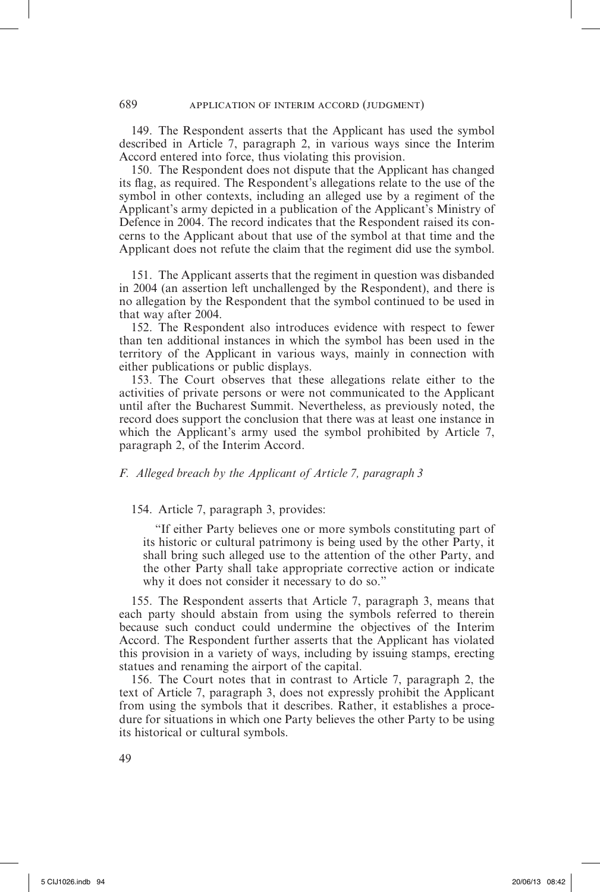149. The Respondent asserts that the Applicant has used the symbol described in Article 7, paragraph 2, in various ways since the Interim Accord entered into force, thus violating this provision.

150. The Respondent does not dispute that the Applicant has changed its flag, as required. The Respondent's allegations relate to the use of the symbol in other contexts, including an alleged use by a regiment of the Applicant's army depicted in a publication of the Applicant's Ministry of Defence in 2004. The record indicates that the Respondent raised its concerns to the Applicant about that use of the symbol at that time and the Applicant does not refute the claim that the regiment did use the symbol.

151. The Applicant asserts that the regiment in question was disbanded in 2004 (an assertion left unchallenged by the Respondent), and there is no allegation by the Respondent that the symbol continued to be used in that way after 2004.

152. The Respondent also introduces evidence with respect to fewer than ten additional instances in which the symbol has been used in the territory of the Applicant in various ways, mainly in connection with either publications or public displays.

153. The Court observes that these allegations relate either to the activities of private persons or were not communicated to the Applicant until after the Bucharest Summit. Nevertheless, as previously noted, the record does support the conclusion that there was at least one instance in which the Applicant's army used the symbol prohibited by Article 7, paragraph 2, of the Interim Accord.

#### *F. Alleged breach by the Applicant of Article 7, paragraph 3*

# 154. Article 7, paragraph 3, provides:

"If either Party believes one or more symbols constituting part of its historic or cultural patrimony is being used by the other Party, it shall bring such alleged use to the attention of the other Party, and the other Party shall take appropriate corrective action or indicate why it does not consider it necessary to do so."

155. The Respondent asserts that Article 7, paragraph 3, means that each party should abstain from using the symbols referred to therein because such conduct could undermine the objectives of the Interim Accord. The Respondent further asserts that the Applicant has violated this provision in a variety of ways, including by issuing stamps, erecting statues and renaming the airport of the capital.

156. The Court notes that in contrast to Article 7, paragraph 2, the text of Article 7, paragraph 3, does not expressly prohibit the Applicant from using the symbols that it describes. Rather, it establishes a procedure for situations in which one Party believes the other Party to be using its historical or cultural symbols.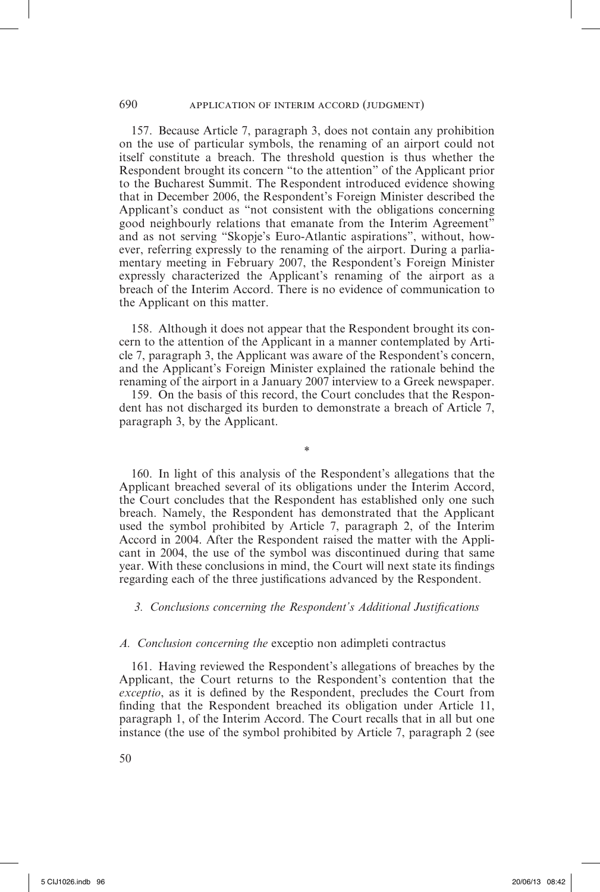157. Because Article 7, paragraph 3, does not contain any prohibition on the use of particular symbols, the renaming of an airport could not itself constitute a breach. The threshold question is thus whether the Respondent brought its concern "to the attention" of the Applicant prior to the Bucharest Summit. The Respondent introduced evidence showing that in December 2006, the Respondent's Foreign Minister described the Applicant's conduct as "not consistent with the obligations concerning good neighbourly relations that emanate from the Interim Agreement" and as not serving "Skopje's Euro-Atlantic aspirations", without, however, referring expressly to the renaming of the airport. During a parliamentary meeting in February 2007, the Respondent's Foreign Minister expressly characterized the Applicant's renaming of the airport as a breach of the Interim Accord. There is no evidence of communication to the Applicant on this matter.

158. Although it does not appear that the Respondent brought its concern to the attention of the Applicant in a manner contemplated by Article 7, paragraph 3, the Applicant was aware of the Respondent's concern, and the Applicant's Foreign Minister explained the rationale behind the renaming of the airport in a January 2007 interview to a Greek newspaper.

159. On the basis of this record, the Court concludes that the Respondent has not discharged its burden to demonstrate a breach of Article 7, paragraph 3, by the Applicant.

\*

160. In light of this analysis of the Respondent's allegations that the Applicant breached several of its obligations under the Interim Accord, the Court concludes that the Respondent has established only one such breach. Namely, the Respondent has demonstrated that the Applicant used the symbol prohibited by Article 7, paragraph 2, of the Interim Accord in 2004. After the Respondent raised the matter with the Applicant in 2004, the use of the symbol was discontinued during that same year. With these conclusions in mind, the Court will next state its findings regarding each of the three justifications advanced by the Respondent.

*3. Conclusions concerning the Respondent's Additional Justifications*

#### *A. Conclusion concerning the* exceptio non adimpleti contractus

161. Having reviewed the Respondent's allegations of breaches by the Applicant, the Court returns to the Respondent's contention that the *exceptio*, as it is defined by the Respondent, precludes the Court from finding that the Respondent breached its obligation under Article 11, paragraph 1, of the Interim Accord. The Court recalls that in all but one instance (the use of the symbol prohibited by Article 7, paragraph 2 (see

50

5 CIJ1026.indb 96 20/06/13 08:42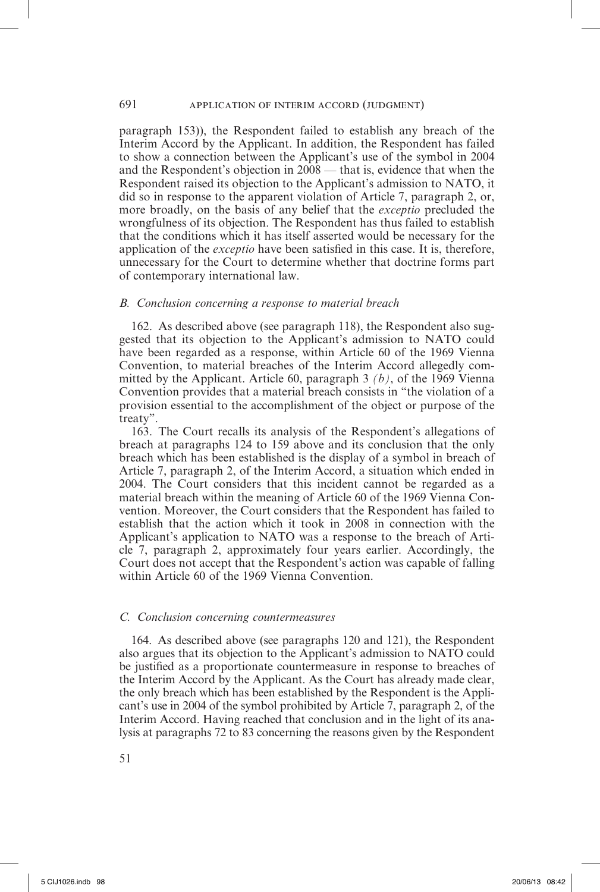paragraph 153)), the Respondent failed to establish any breach of the Interim Accord by the Applicant. In addition, the Respondent has failed to show a connection between the Applicant's use of the symbol in 2004 and the Respondent's objection in 2008 — that is, evidence that when the Respondent raised its objection to the Applicant's admission to NATO, it did so in response to the apparent violation of Article 7, paragraph 2, or, more broadly, on the basis of any belief that the *exceptio* precluded the wrongfulness of its objection. The Respondent has thus failed to establish that the conditions which it has itself asserted would be necessary for the application of the *exceptio* have been satisfied in this case. It is, therefore, unnecessary for the Court to determine whether that doctrine forms part of contemporary international law.

#### *B. Conclusion concerning a response to material breach*

162. As described above (see paragraph 118), the Respondent also suggested that its objection to the Applicant's admission to NATO could have been regarded as a response, within Article 60 of the 1969 Vienna Convention, to material breaches of the Interim Accord allegedly committed by the Applicant. Article 60, paragraph 3 *(b)*, of the 1969 Vienna Convention provides that a material breach consists in "the violation of a provision essential to the accomplishment of the object or purpose of the treaty".

163. The Court recalls its analysis of the Respondent's allegations of breach at paragraphs 124 to 159 above and its conclusion that the only breach which has been established is the display of a symbol in breach of Article 7, paragraph 2, of the Interim Accord, a situation which ended in 2004. The Court considers that this incident cannot be regarded as a material breach within the meaning of Article 60 of the 1969 Vienna Convention. Moreover, the Court considers that the Respondent has failed to establish that the action which it took in 2008 in connection with the Applicant's application to NATO was a response to the breach of Article 7, paragraph 2, approximately four years earlier. Accordingly, the Court does not accept that the Respondent's action was capable of falling within Article 60 of the 1969 Vienna Convention.

#### *C. Conclusion concerning countermeasures*

164. As described above (see paragraphs 120 and 121), the Respondent also argues that its objection to the Applicant's admission to NATO could be justified as a proportionate countermeasure in response to breaches of the Interim Accord by the Applicant. As the Court has already made clear, the only breach which has been established by the Respondent is the Applicant's use in 2004 of the symbol prohibited by Article 7, paragraph 2, of the Interim Accord. Having reached that conclusion and in the light of its analysis at paragraphs 72 to 83 concerning the reasons given by the Respondent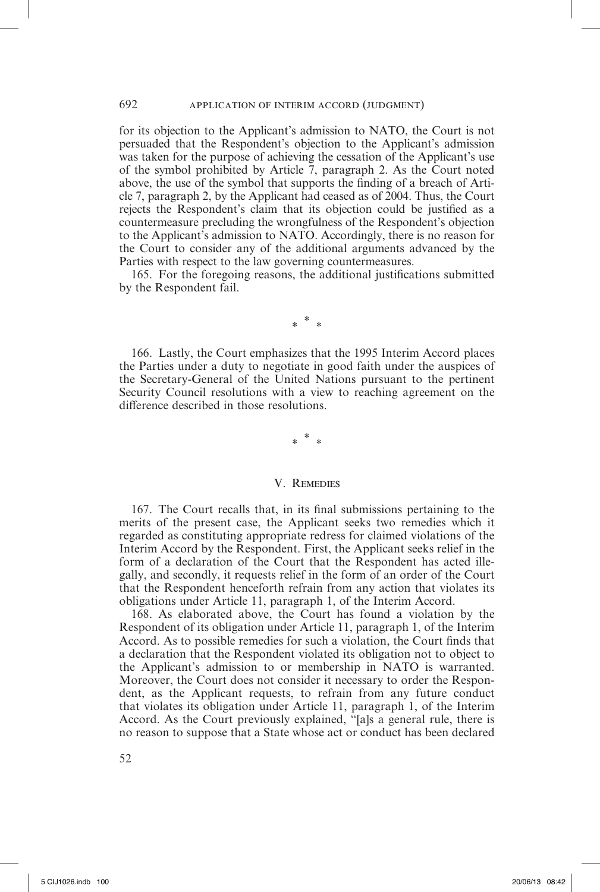for its objection to the Applicant's admission to NATO, the Court is not persuaded that the Respondent's objection to the Applicant's admission was taken for the purpose of achieving the cessation of the Applicant's use of the symbol prohibited by Article 7, paragraph 2. As the Court noted above, the use of the symbol that supports the finding of a breach of Article 7, paragraph 2, by the Applicant had ceased as of 2004. Thus, the Court rejects the Respondent's claim that its objection could be justified as a countermeasure precluding the wrongfulness of the Respondent's objection to the Applicant's admission to NATO. Accordingly, there is no reason for the Court to consider any of the additional arguments advanced by the Parties with respect to the law governing countermeasures.

165. For the foregoing reasons, the additional justifications submitted by the Respondent fail.

\* \* \*

166. Lastly, the Court emphasizes that the 1995 Interim Accord places the Parties under a duty to negotiate in good faith under the auspices of the Secretary-General of the United Nations pursuant to the pertinent Security Council resolutions with a view to reaching agreement on the difference described in those resolutions.

# \* \* \*

# V. Remedies

167. The Court recalls that, in its final submissions pertaining to the merits of the present case, the Applicant seeks two remedies which it regarded as constituting appropriate redress for claimed violations of the Interim Accord by the Respondent. First, the Applicant seeks relief in the form of a declaration of the Court that the Respondent has acted illegally, and secondly, it requests relief in the form of an order of the Court that the Respondent henceforth refrain from any action that violates its obligations under Article 11, paragraph 1, of the Interim Accord.

168. As elaborated above, the Court has found a violation by the Respondent of its obligation under Article 11, paragraph 1, of the Interim Accord. As to possible remedies for such a violation, the Court finds that a declaration that the Respondent violated its obligation not to object to the Applicant's admission to or membership in NATO is warranted. Moreover, the Court does not consider it necessary to order the Respondent, as the Applicant requests, to refrain from any future conduct that violates its obligation under Article 11, paragraph 1, of the Interim Accord. As the Court previously explained, "[a]s a general rule, there is no reason to suppose that a State whose act or conduct has been declared

5 CIJ1026.indb 100 20/06/13 08:42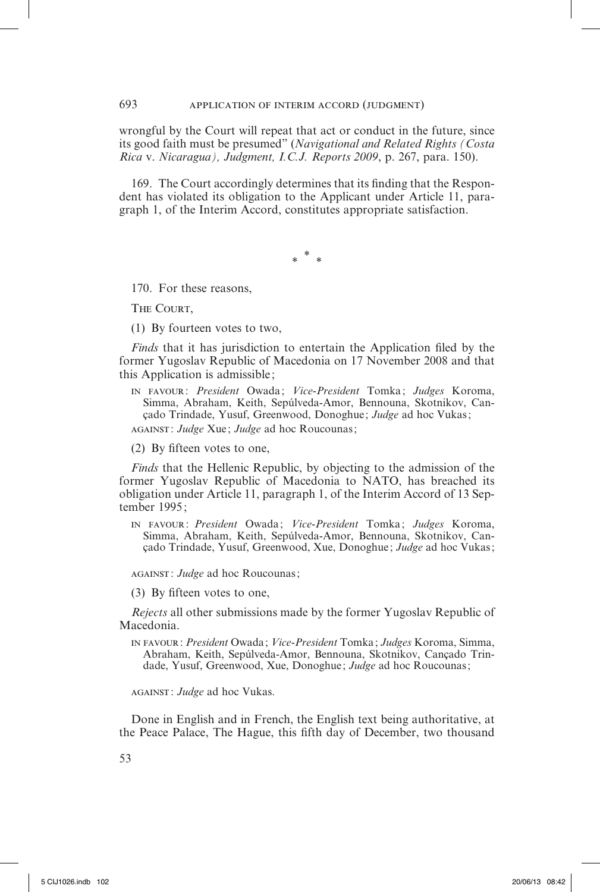wrongful by the Court will repeat that act or conduct in the future, since its good faith must be presumed" (*Navigational and Related Rights (Costa Rica* v. *Nicaragua), Judgment, I.C.J. Reports 2009*, p. 267, para. 150).

169. The Court accordingly determines that its finding that the Respondent has violated its obligation to the Applicant under Article 11, paragraph 1, of the Interim Accord, constitutes appropriate satisfaction.

\* \* \*

170. For these reasons,

The Court,

(1) By fourteen votes to two,

*Finds* that it has jurisdiction to entertain the Application filed by the former Yugoslav Republic of Macedonia on 17 November 2008 and that this Application is admissible ;

in favour: *President* Owada; *Vice-President* Tomka; *Judges* Koroma, Simma, Abraham, Keith, Sepúlveda-Amor, Bennouna, Skotnikov, Cançado Trindade, Yusuf, Greenwood, Donoghue ; *Judge* ad hoc Vukas; against : *Judge* Xue ; *Judge* ad hoc Roucounas;

(2) By fifteen votes to one,

*Finds* that the Hellenic Republic, by objecting to the admission of the former Yugoslav Republic of Macedonia to NATO, has breached its obligation under Article 11, paragraph 1, of the Interim Accord of 13 September 1995;

in favour: *President* Owada ; *Vice-President* Tomka; *Judges* Koroma, Simma, Abraham, Keith, Sepúlveda-Amor, Bennouna, Skotnikov, Cançado Trindade, Yusuf, Greenwood, Xue, Donoghue ; *Judge* ad hoc Vukas;

against: *Judge* ad hoc Roucounas;

(3) By fifteen votes to one,

*Rejects* all other submissions made by the former Yugoslav Republic of Macedonia.

in favour: *President* Owada; *Vice-President* Tomka; *Judges* Koroma, Simma, Abraham, Keith, Sepúlveda-Amor, Bennouna, Skotnikov, Cançado Trindade, Yusuf, Greenwood, Xue, Donoghue ; *Judge* ad hoc Roucounas;

against: *Judge* ad hoc Vukas.

Done in English and in French, the English text being authoritative, at the Peace Palace, The Hague, this fifth day of December, two thousand